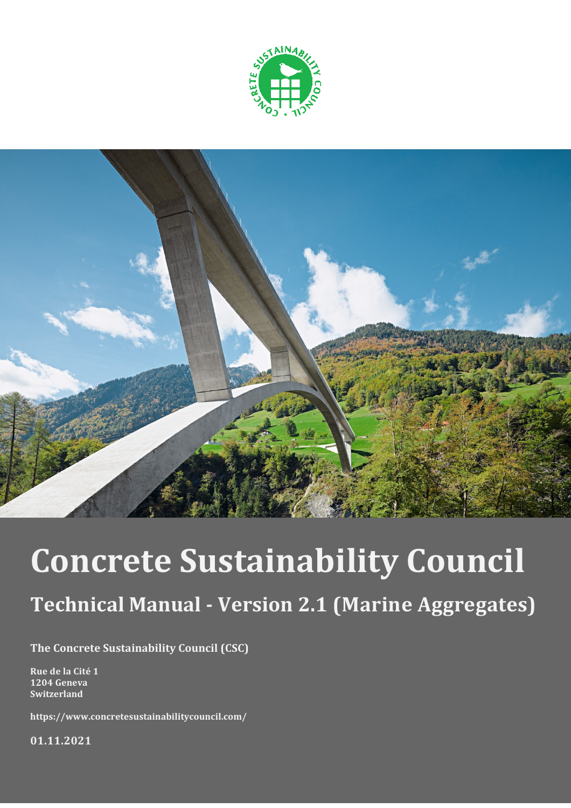



# **Concrete Sustainability Council**

# **Technical Manual - Version 2.1 (Marine Aggregates)**

**The Concrete Sustainability Council (CSC)**

**Rue de la Cité 1 1204 Geneva Switzerland**

**https://www.concretesustainabilitycouncil.com/**

**01.11.2021**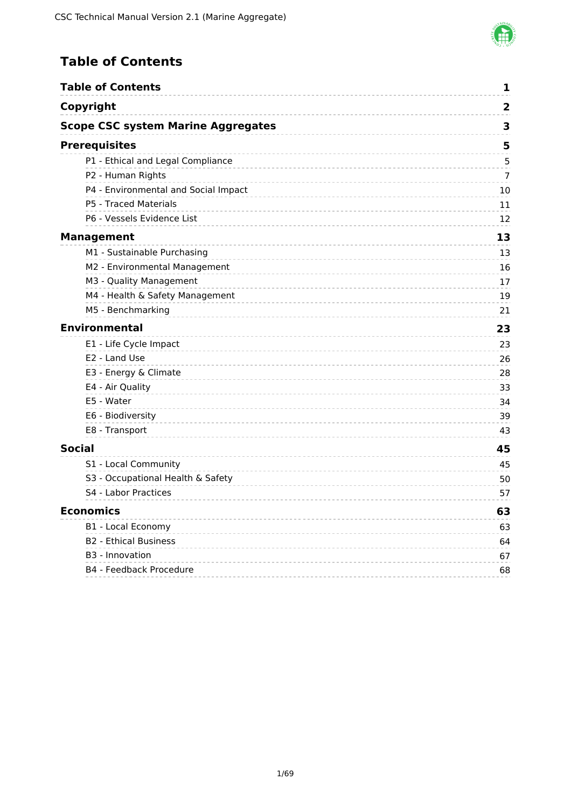

# <span id="page-1-0"></span>**Table of Contents**

|                      | <b>Table of Contents</b>                  | 1                       |
|----------------------|-------------------------------------------|-------------------------|
| Copyright            |                                           | $\overline{\mathbf{2}}$ |
|                      | <b>Scope CSC system Marine Aggregates</b> | 3                       |
| <b>Prerequisites</b> |                                           | 5                       |
|                      | P1 - Ethical and Legal Compliance         | 5                       |
|                      | P2 - Human Rights                         | 7                       |
|                      | P4 - Environmental and Social Impact      | 10                      |
|                      | P5 - Traced Materials                     | 11                      |
|                      | P6 - Vessels Evidence List                | 12                      |
| <b>Management</b>    |                                           | 13                      |
|                      | M1 - Sustainable Purchasing               | 13                      |
|                      | M2 - Environmental Management             | 16                      |
|                      | M3 - Quality Management                   | 17                      |
|                      | M4 - Health & Safety Management           | 19                      |
|                      | M5 - Benchmarking                         | 21                      |
|                      | <b>Environmental</b>                      | 23                      |
|                      | E1 - Life Cycle Impact                    | 23                      |
|                      | E2 - Land Use                             | 26                      |
|                      | E3 - Energy & Climate                     | 28                      |
|                      | E4 - Air Quality                          | 33                      |
|                      | E5 - Water                                | 34                      |
|                      | E6 - Biodiversity                         | 39                      |
|                      | E8 - Transport                            | 43                      |
| <b>Social</b>        |                                           | 45                      |
|                      | S1 - Local Community                      | 45                      |
|                      | S3 - Occupational Health & Safety         | 50                      |
|                      | S4 - Labor Practices                      | 57                      |
| <b>Economics</b>     |                                           | 63                      |
|                      | B1 - Local Economy                        | 63                      |
|                      | <b>B2 - Ethical Business</b>              | 64                      |
|                      | B <sub>3</sub> - Innovation               | 67                      |
|                      | B4 - Feedback Procedure                   | 68                      |
|                      |                                           |                         |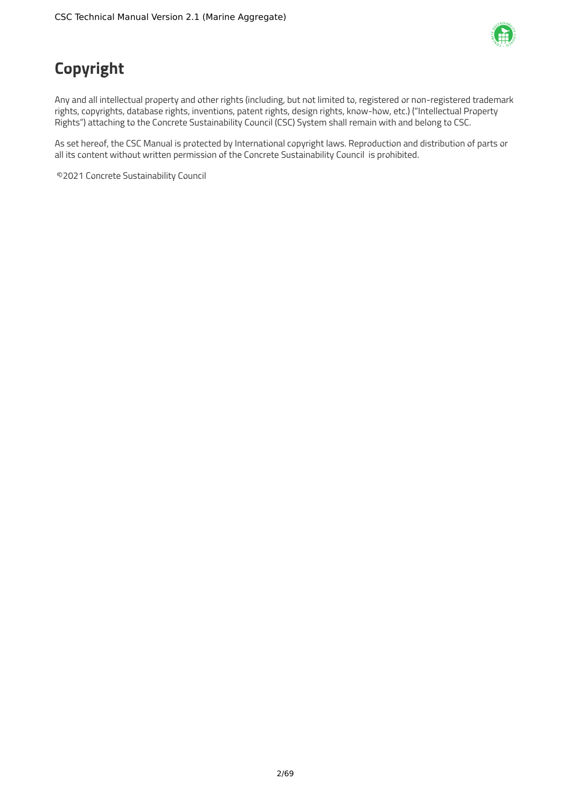

# <span id="page-2-0"></span>**Copyright**

Any and all intellectual property and other rights (including, but not limited to, registered or non-registered trademark rights, copyrights, database rights, inventions, patent rights, design rights, know-how, etc.) ("Intellectual Property Rights") attaching to the Concrete Sustainability Council (CSC) System shall remain with and belong to CSC.

As set hereof, the CSC Manual is protected by International copyright laws. Reproduction and distribution of parts or all its content without written permission of the Concrete Sustainability Council is prohibited.

©2021 Concrete Sustainability Council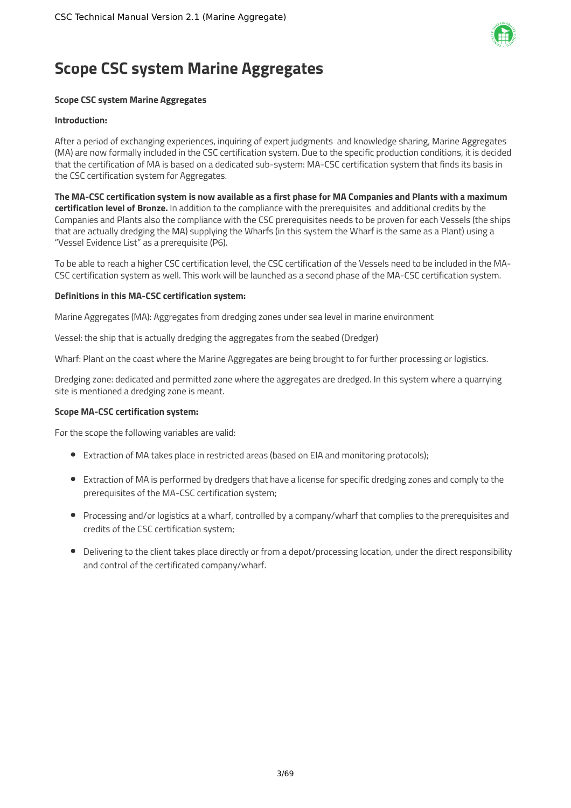

# <span id="page-3-0"></span>**Scope CSC system Marine Aggregates**

# **Scope CSC system Marine Aggregates**

#### **Introduction:**

After a period of exchanging experiences, inquiring of expert judgments and knowledge sharing, Marine Aggregates (MA) are now formally included in the CSC certification system. Due to the specific production conditions, it is decided that the certification of MA is based on a dedicated sub-system: MA-CSC certification system that finds its basis in the CSC certification system for Aggregates.

The MA-CSC certification system is now available as a first phase for MA Companies and Plants with a maximum **certification level of Bronze.** In addition to the compliance with the prerequisites and additional credits by the Companies and Plants also the compliance with the CSC prerequisites needs to be proven for each Vessels (the ships that are actually dredging the MA) supplying the Wharfs (in this system the Wharf is the same as a Plant) using a "Vessel Evidence List" as a prerequisite (P6).

To be able to reach a higher CSC certification level, the CSC certification of the Vessels need to be included in the MA-CSC certification system as well. This work will be launched as a second phase of the MA-CSC certification system.

#### **Definitions in this MA-CSC certification system:**

Marine Aggregates (MA): Aggregates from dredging zones under sea level in marine environment

Vessel: the ship that is actually dredging the aggregates from the seabed (Dredger)

Wharf: Plant on the coast where the Marine Aggregates are being brought to for further processing or logistics.

Dredging zone: dedicated and permitted zone where the aggregates are dredged. In this system where a quarrying site is mentioned a dredging zone is meant.

### **Scope MA-CSC certification system:**

For the scope the following variables are valid:

- Extraction of MA takes place in restricted areas (based on EIA and monitoring protocols);
- Extraction of MA is performed by dredgers that have a license for specific dredging zones and comply to the prerequisites of the MA-CSC certification system;
- Processing and/or logistics at a wharf, controlled by a company/wharf that complies to the prerequisites and credits of the CSC certification system;
- Delivering to the client takes place directly or from a depot/processing location, under the direct responsibility and control of the certificated company/wharf.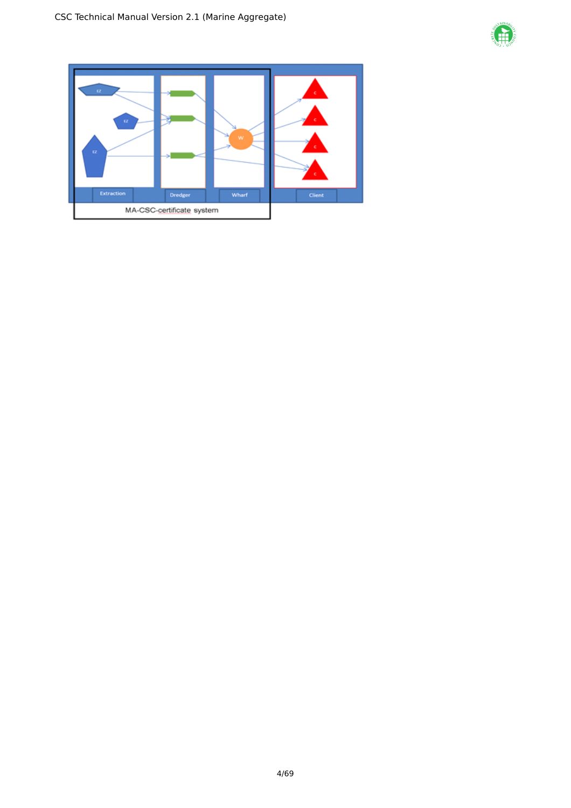

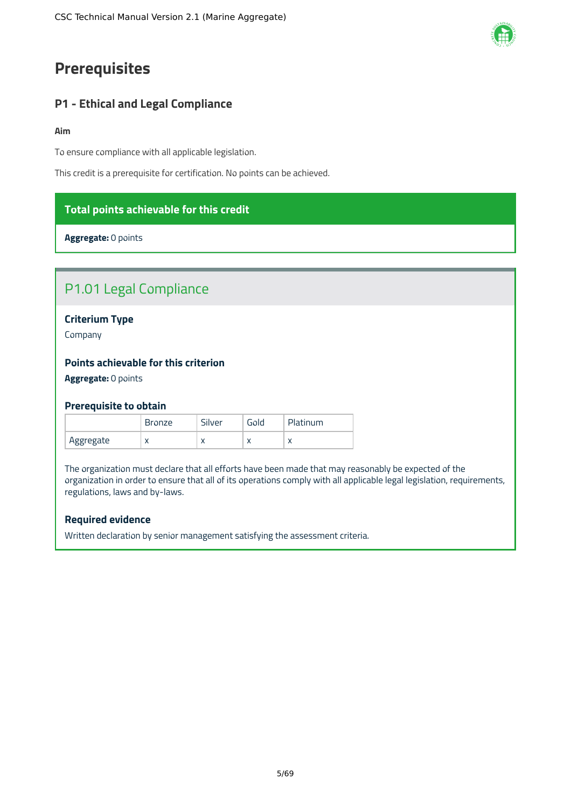# <span id="page-5-0"></span>**Prerequisites**

# <span id="page-5-1"></span>**P1 - Ethical and Legal Compliance**

#### **Aim**

To ensure compliance with all applicable legislation.

This credit is a prerequisite for certification. No points can be achieved.

# **Total points achievable for this credit**

**Aggregate:** 0 points

# P1.01 Legal Compliance

# **Criterium Type**

Company

# **Points achievable for this criterion**

**Aggregate:** 0 points

### **Prerequisite to obtain**

|           | <b>Bronze</b> | Silver    | Gold      | Platinum |
|-----------|---------------|-----------|-----------|----------|
| Aggregate | $\sqrt{ }$    | $\lambda$ | $\lambda$ |          |

The organization must declare that all efforts have been made that may reasonably be expected of the organization in order to ensure that all of its operations comply with all applicable legal legislation, requirements, regulations, laws and by-laws.

# **Required evidence**

Written declaration by senior management satisfying the assessment criteria.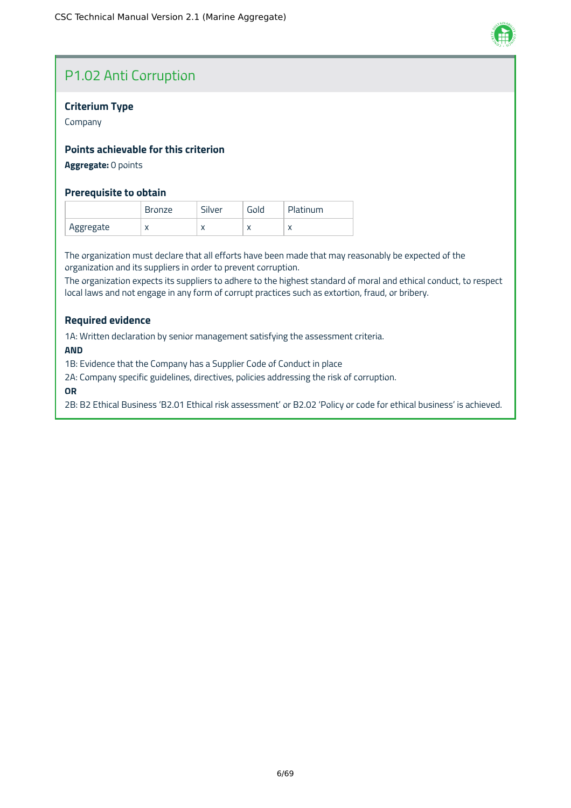

# P1.02 Anti Corruption

# **Criterium Type**

Company

# **Points achievable for this criterion**

# **Aggregate:** 0 points

# **Prerequisite to obtain**

|           | <b>Bronze</b> | Silver    | Gold      | Platinum |
|-----------|---------------|-----------|-----------|----------|
| Aggregate | $\sqrt{ }$    | $\lambda$ | $\lambda$ |          |

The organization must declare that all efforts have been made that may reasonably be expected of the organization and its suppliers in order to prevent corruption.

The organization expects its suppliers to adhere to the highest standard of moral and ethical conduct, to respect local laws and not engage in any form of corrupt practices such as extortion, fraud, or bribery.

### **Required evidence**

1A: Written declaration by senior management satisfying the assessment criteria.

#### **AND**

1B: Evidence that the Company has a Supplier Code of Conduct in place

2A: Company specific guidelines, directives, policies addressing the risk of corruption.

#### **OR**

2B: B2 Ethical Business 'B2.01 Ethical risk assessment' or B2.02 'Policy or code for ethical business' is achieved.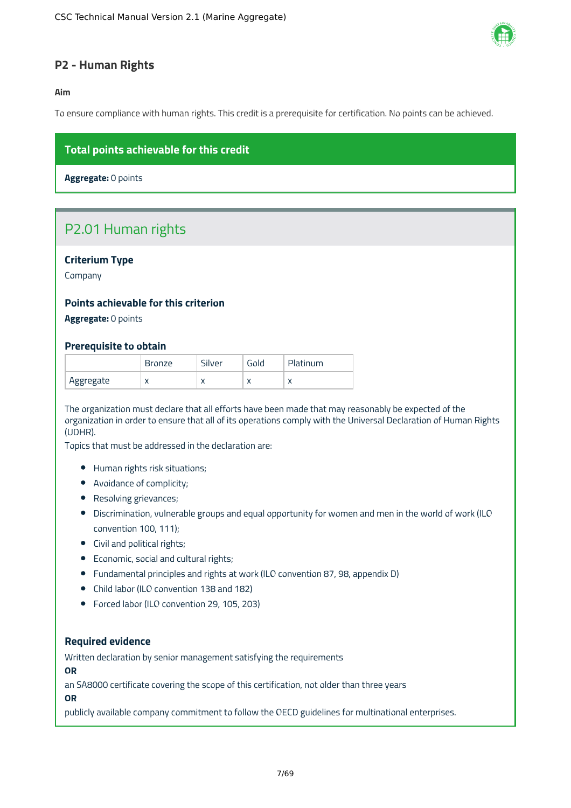

# <span id="page-7-0"></span>**P2 - Human Rights**

### **Aim**

To ensure compliance with human rights. This credit is a prerequisite for certification. No points can be achieved.

# **Total points achievable for this credit**

**Aggregate:** 0 points

# P2.01 Human rights

# **Criterium Type**

Company

# **Points achievable for this criterion**

**Aggregate:** 0 points

### **Prerequisite to obtain**

|           | Bronze    | ilverد | Gold      | Platinum  |
|-----------|-----------|--------|-----------|-----------|
| Aggregate | $\lambda$ | ↗      | $\lambda$ | $\lambda$ |

The organization must declare that all efforts have been made that may reasonably be expected of the organization in order to ensure that all of its operations comply with the Universal Declaration of Human Rights (UDHR).

Topics that must be addressed in the declaration are:

- Human rights risk situations;
- Avoidance of complicity;
- Resolving grievances;
- Discrimination, vulnerable groups and equal opportunity for women and men in the world of work (ILO convention 100, 111);
- Civil and political rights;
- Economic, social and cultural rights;
- Fundamental principles and rights at work (ILO convention 87, 98, appendix D)
- Child labor (ILO convention 138 and 182)
- Forced labor (ILO convention 29, 105, 203)

#### **Required evidence**

Written declaration by senior management satisfying the requirements

**OR**

an SA8000 certificate covering the scope of this certification, not older than three years

**OR**

publicly available company commitment to follow the OECD guidelines for multinational enterprises.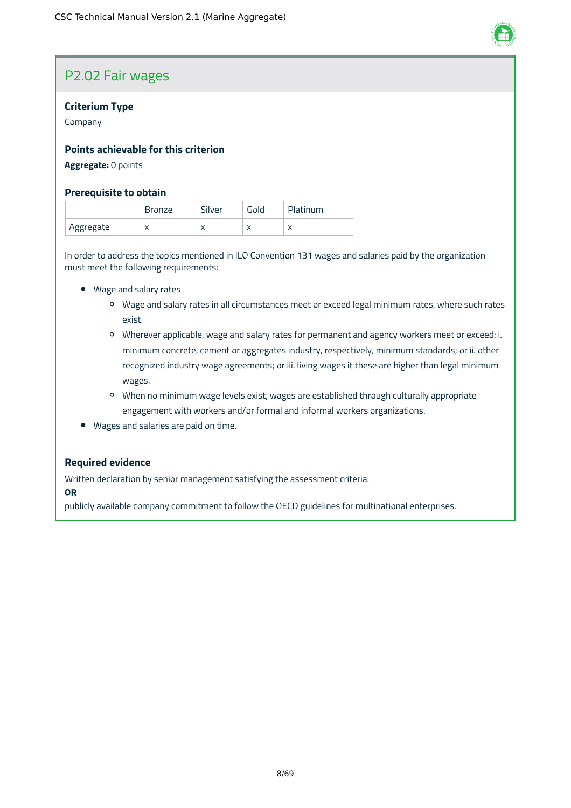

# P2.02 Fair wages

# **Criterium Type**

Company

# **Points achievable for this criterion**

# **Aggregate:** 0 points

# **Prerequisite to obtain**

|           | Bronze    | Silver    | Gold      | Platinum                 |
|-----------|-----------|-----------|-----------|--------------------------|
| Aggregate | $\lambda$ | $\lambda$ | $\lambda$ | $\overline{\phantom{a}}$ |

In order to address the topics mentioned in ILO Convention 131 wages and salaries paid by the organization must meet the following requirements:

- Wage and salary rates
	- Wage and salary rates in all circumstances meet or exceed legal minimum rates, where such rates exist.
	- Wherever applicable, wage and salary rates for permanent and agency workers meet or exceed: i. minimum concrete, cement or aggregates industry, respectively, minimum standards; or ii. other recognized industry wage agreements; or iii. living wages it these are higher than legal minimum wages.
	- When no minimum wage levels exist, wages are established through culturally appropriate engagement with workers and/or formal and informal workers organizations.
- Wages and salaries are paid on time.

### **Required evidence**

Written declaration by senior management satisfying the assessment criteria.

**OR**

publicly available company commitment to follow the OECD guidelines for multinational enterprises.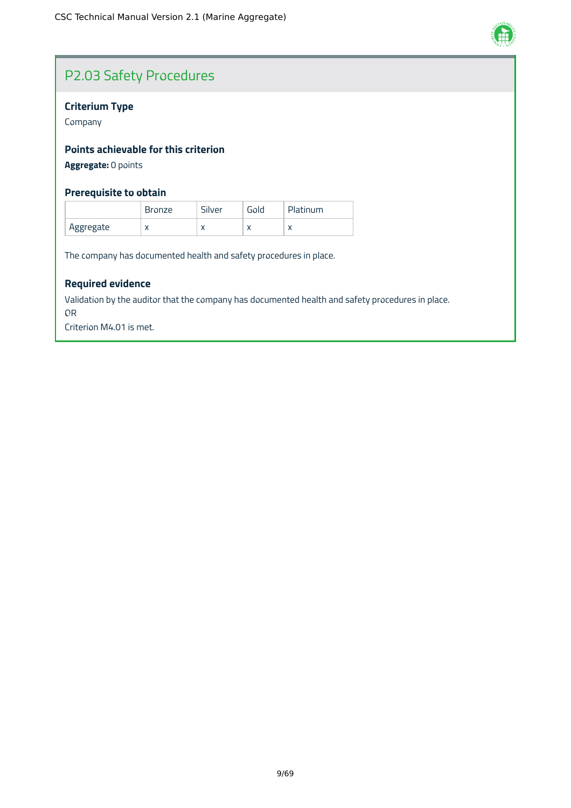

# P2.03 Safety Procedures

# **Criterium Type**

Company

# **Points achievable for this criterion**

**Aggregate:** 0 points

# **Prerequisite to obtain**

|           | <b>Bronze</b> | Silver    | Gold      | Platinum |
|-----------|---------------|-----------|-----------|----------|
| Aggregate | $\lambda$     | $\lambda$ | $\lambda$ |          |

The company has documented health and safety procedures in place.

# **Required evidence**

Validation by the auditor that the company has documented health and safety procedures in place.

OR

Criterion M4.01 is met.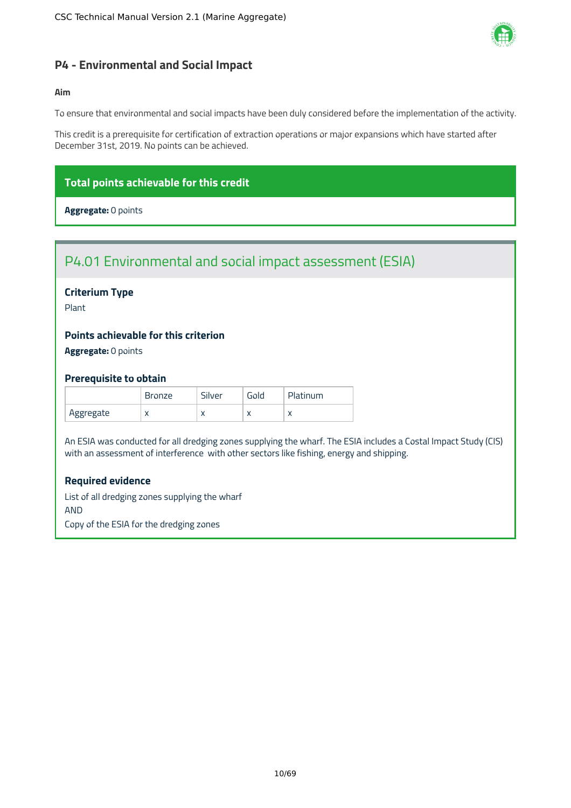

# <span id="page-10-0"></span>**P4 - Environmental and Social Impact**

# **Aim**

To ensure that environmental and social impacts have been duly considered before the implementation of the activity.

This credit is a prerequisite for certification of extraction operations or major expansions which have started after December 31st, 2019. No points can be achieved.

# **Total points achievable for this credit**

**Aggregate:** 0 points

# P4.01 Environmental and social impact assessment (ESIA)

# **Criterium Type**

Plant

# **Points achievable for this criterion**

**Aggregate:** 0 points

### **Prerequisite to obtain**

|           | <b>Bronze</b> | Silver    | Gold      | Platinum |
|-----------|---------------|-----------|-----------|----------|
| Aggregate | $\lambda$     | $\lambda$ | $\lambda$ |          |

An ESIA was conducted for all dredging zones supplying the wharf. The ESIA includes a Costal Impact Study (CIS) with an assessment of interference with other sectors like fishing, energy and shipping.

### **Required evidence**

List of all dredging zones supplying the wharf AND Copy of the ESIA for the dredging zones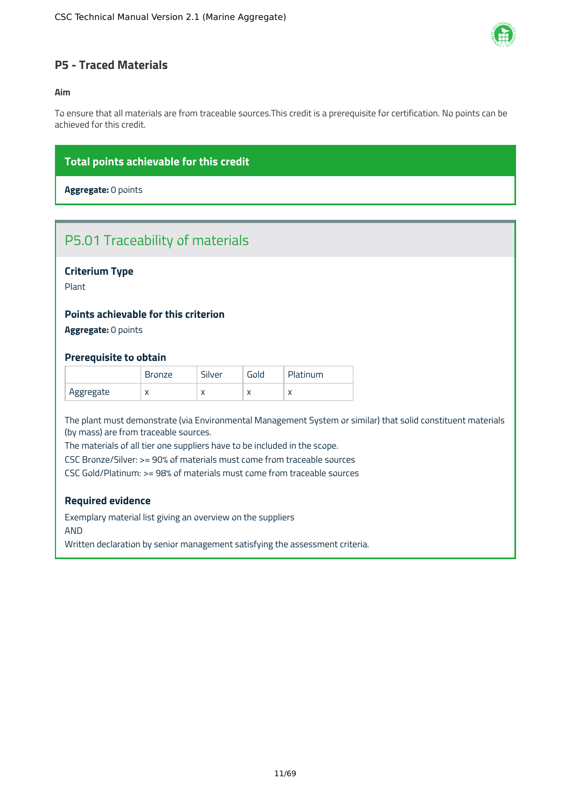

# <span id="page-11-0"></span>**P5 - Traced Materials**

### **Aim**

To ensure that all materials are from traceable sources.This credit is a prerequisite for certification. No points can be achieved for this credit.

# **Total points achievable for this credit**

**Aggregate:** 0 points

# P5.01 Traceability of materials

# **Criterium Type**

Plant

# **Points achievable for this criterion**

**Aggregate:** 0 points

### **Prerequisite to obtain**

|           | <b>Bronze</b> | Silver    | Gold      | Platinum  |
|-----------|---------------|-----------|-----------|-----------|
| Aggregate | $\lambda$     | $\lambda$ | $\lambda$ | $\lambda$ |

The plant must demonstrate (via Environmental Management System or similar) that solid constituent materials (by mass) are from traceable sources.

The materials of all tier one suppliers have to be included in the scope.

CSC Bronze/Silver: >= 90% of materials must come from traceable sources

CSC Gold/Platinum: >= 98% of materials must come from traceable sources

### **Required evidence**

Exemplary material list giving an overview on the suppliers AND

Written declaration by senior management satisfying the assessment criteria.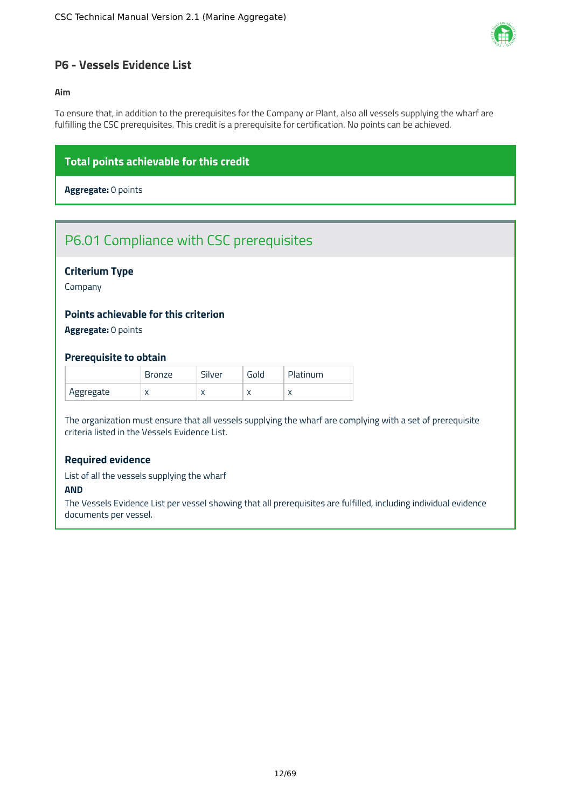

# <span id="page-12-0"></span>**P6 - Vessels Evidence List**

#### **Aim**

To ensure that, in addition to the prerequisites for the Company or Plant, also all vessels supplying the wharf are fulfilling the CSC prerequisites. This credit is a prerequisite for certification. No points can be achieved.

# **Total points achievable for this credit**

**Aggregate:** 0 points

# P6.01 Compliance with CSC prerequisites

# **Criterium Type**

Company

# **Points achievable for this criterion**

**Aggregate:** 0 points

### **Prerequisite to obtain**

|           | Bronze    | - 1<br>Silver | Gold       | Platinum  |
|-----------|-----------|---------------|------------|-----------|
| Aggregate | $\lambda$ | $\lambda$     | $\sqrt{ }$ | $\lambda$ |

The organization must ensure that all vessels supplying the wharf are complying with a set of prerequisite criteria listed in the Vessels Evidence List.

# **Required evidence**

List of all the vessels supplying the wharf

#### **AND**

The Vessels Evidence List per vessel showing that all prerequisites are fulfilled, including individual evidence documents per vessel.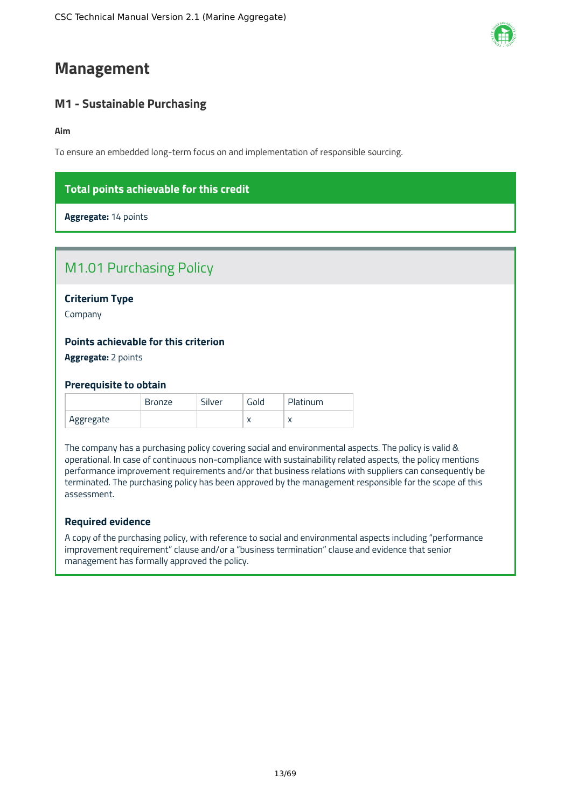# <span id="page-13-0"></span>**Management**

# <span id="page-13-1"></span>**M1 - Sustainable Purchasing**

**Aim**

To ensure an embedded long-term focus on and implementation of responsible sourcing.

# **Total points achievable for this credit**

**Aggregate:** 14 points

| <b>M1.01 Purchasing Policy</b>                                     |  |
|--------------------------------------------------------------------|--|
| <b>Criterium Type</b><br>Company                                   |  |
| <b>Points achievable for this criterion</b><br>Aggregate: 2 points |  |

#### **Prerequisite to obtain**

|           | <b>Bronze</b> | Silver | Gold      | Platinum |
|-----------|---------------|--------|-----------|----------|
| Aggregate |               |        | $\lambda$ |          |

The company has a purchasing policy covering social and environmental aspects. The policy is valid & operational. In case of continuous non-compliance with sustainability related aspects, the policy mentions performance improvement requirements and/or that business relations with suppliers can consequently be terminated. The purchasing policy has been approved by the management responsible for the scope of this assessment.

# **Required evidence**

A copy of the purchasing policy, with reference to social and environmental aspects including "performance improvement requirement" clause and/or a "business termination" clause and evidence that senior management has formally approved the policy.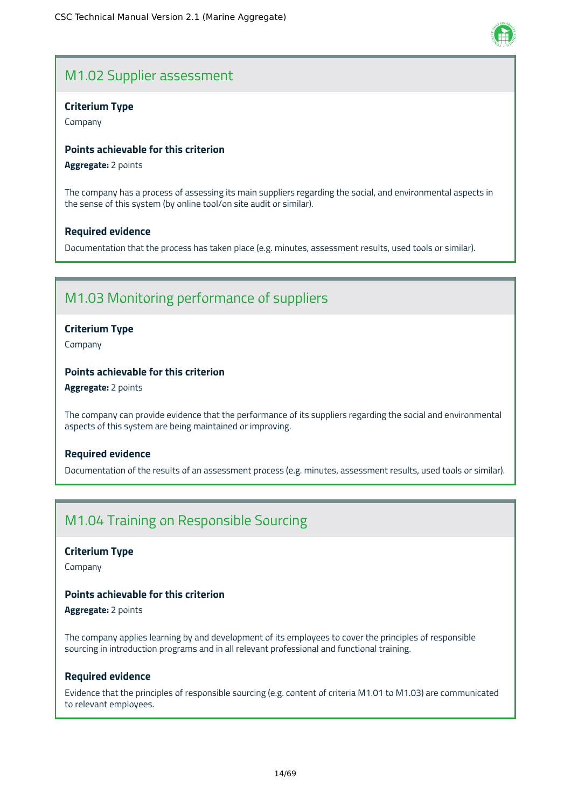# M1.02 Supplier assessment

# **Criterium Type**

Company

# **Points achievable for this criterion**

**Aggregate:** 2 points

The company has a process of assessing its main suppliers regarding the social, and environmental aspects in the sense of this system (by online tool/on site audit or similar).

# **Required evidence**

Documentation that the process has taken place (e.g. minutes, assessment results, used tools or similar).

# M1.03 Monitoring performance of suppliers

# **Criterium Type**

Company

# **Points achievable for this criterion**

**Aggregate:** 2 points

The company can provide evidence that the performance of its suppliers regarding the social and environmental aspects of this system are being maintained or improving.

# **Required evidence**

Documentation of the results of an assessment process (e.g. minutes, assessment results, used tools or similar).

# M1.04 Training on Responsible Sourcing

### **Criterium Type**

Company

# **Points achievable for this criterion**

**Aggregate:** 2 points

The company applies learning by and development of its employees to cover the principles of responsible sourcing in introduction programs and in all relevant professional and functional training.

# **Required evidence**

Evidence that the principles of responsible sourcing (e.g. content of criteria M1.01 to M1.03) are communicated to relevant employees.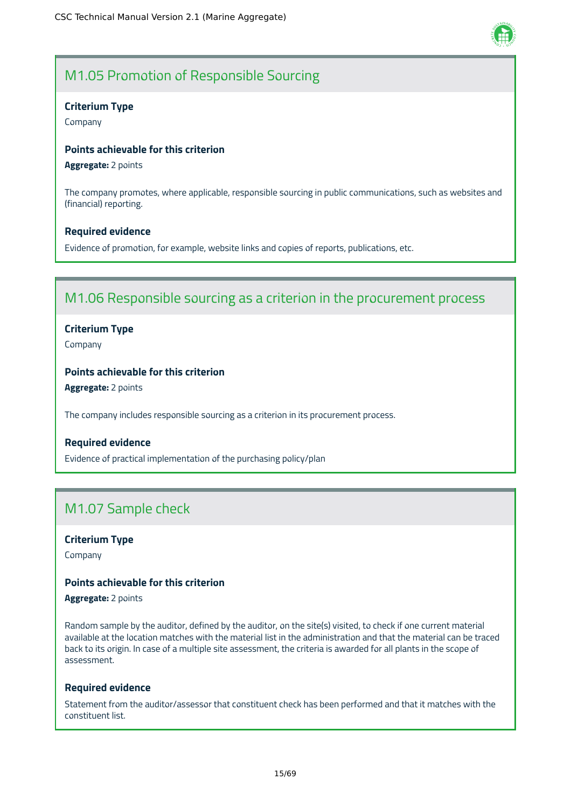

# M1.05 Promotion of Responsible Sourcing

# **Criterium Type**

Company

# **Points achievable for this criterion**

**Aggregate:** 2 points

The company promotes, where applicable, responsible sourcing in public communications, such as websites and (financial) reporting.

# **Required evidence**

Evidence of promotion, for example, website links and copies of reports, publications, etc.

# M1.06 Responsible sourcing as a criterion in the procurement process

# **Criterium Type**

Company

# **Points achievable for this criterion**

**Aggregate:** 2 points

The company includes responsible sourcing as a criterion in its procurement process.

### **Required evidence**

Evidence of practical implementation of the purchasing policy/plan

# M1.07 Sample check

# **Criterium Type**

Company

# **Points achievable for this criterion**

**Aggregate:** 2 points

Random sample by the auditor, defined by the auditor, on the site(s) visited, to check if one current material available at the location matches with the material list in the administration and that the material can be traced back to its origin. In case of a multiple site assessment, the criteria is awarded for all plants in the scope of assessment.

### **Required evidence**

Statement from the auditor/assessor that constituent check has been performed and that it matches with the constituent list.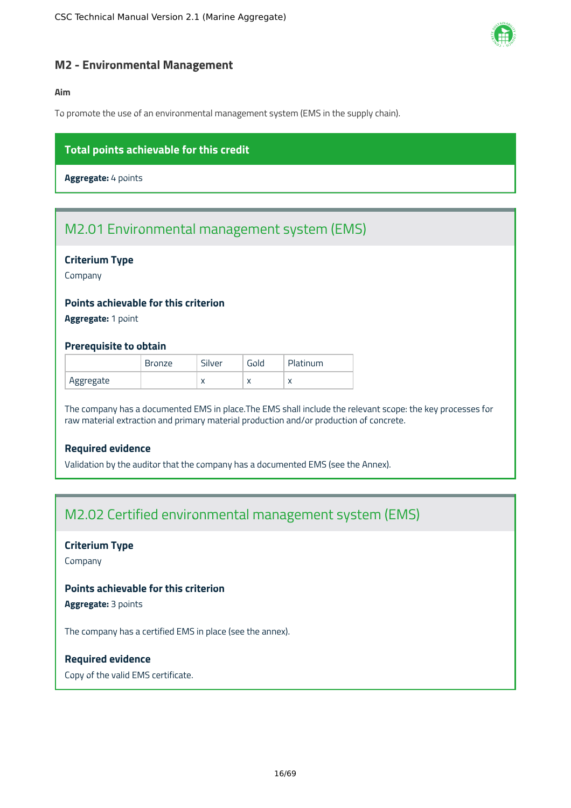

# <span id="page-16-0"></span>**M2 - Environmental Management**

# **Aim**

To promote the use of an environmental management system (EMS in the supply chain).

# **Total points achievable for this credit**

**Aggregate:** 4 points

# M2.01 Environmental management system (EMS)

### **Criterium Type**

Company

# **Points achievable for this criterion**

**Aggregate:** 1 point

### **Prerequisite to obtain**

|           | Bronze | Silver    | Gold      | Platinum   |
|-----------|--------|-----------|-----------|------------|
| Aggregate |        | $\lambda$ | $\lambda$ | $\sqrt{ }$ |

The company has a documented EMS in place.The EMS shall include the relevant scope: the key processes for raw material extraction and primary material production and/or production of concrete.

# **Required evidence**

Validation by the auditor that the company has a documented EMS (see the Annex).

# M2.02 Certified environmental management system (EMS)

# **Criterium Type**

Company

# **Points achievable for this criterion**

**Aggregate:** 3 points

The company has a certified EMS in place (see the annex).

### **Required evidence**

Copy of the valid EMS certificate.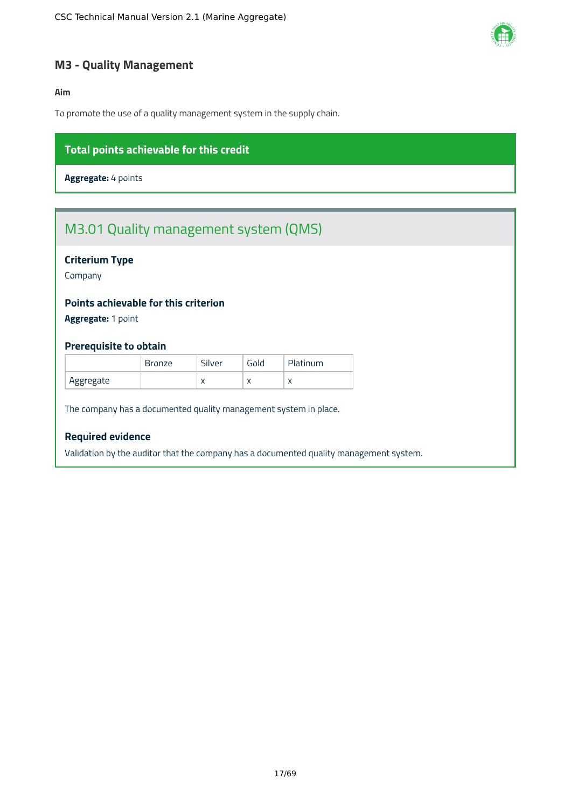

# <span id="page-17-0"></span>**M3 - Quality Management**

# **Aim**

To promote the use of a quality management system in the supply chain.

# **Total points achievable for this credit**

**Aggregate:** 4 points

# M3.01 Quality management system (QMS)

# **Criterium Type**

Company

# **Points achievable for this criterion**

**Aggregate:** 1 point

### **Prerequisite to obtain**

|           | Bronze | Silver    | Gold      | Platinum |
|-----------|--------|-----------|-----------|----------|
| Aggregate |        | $\lambda$ | $\lambda$ |          |

The company has a documented quality management system in place.

# **Required evidence**

Validation by the auditor that the company has a documented quality management system.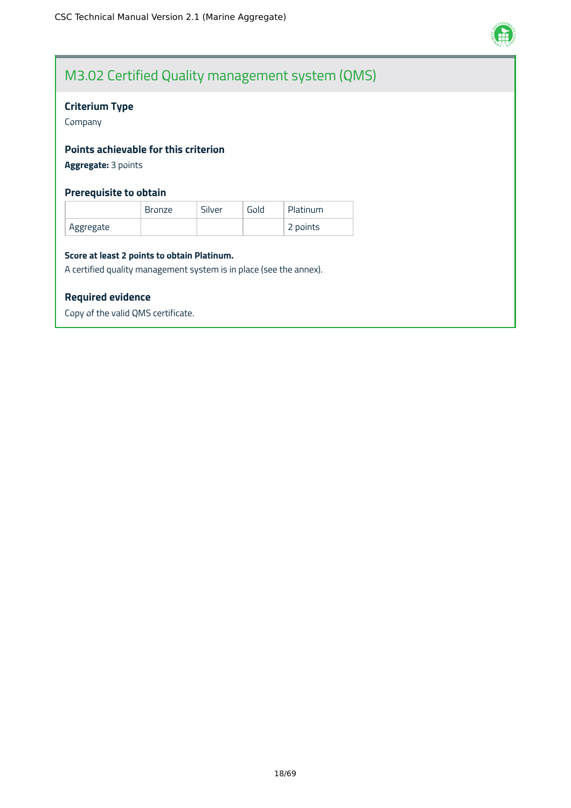

# M3.02 Certified Quality management system (QMS)

# **Criterium Type**

Company

# **Points achievable for this criterion**

**Aggregate:** 3 points

# **Prerequisite to obtain**

|           | <b>Bronze</b> | Silver | Gold | Platinum |
|-----------|---------------|--------|------|----------|
| Aggregate |               |        |      | 2 points |

#### **Score at least 2 points to obtain Platinum.**

A certified quality management system is in place (see the annex).

# **Required evidence**

Copy of the valid QMS certificate.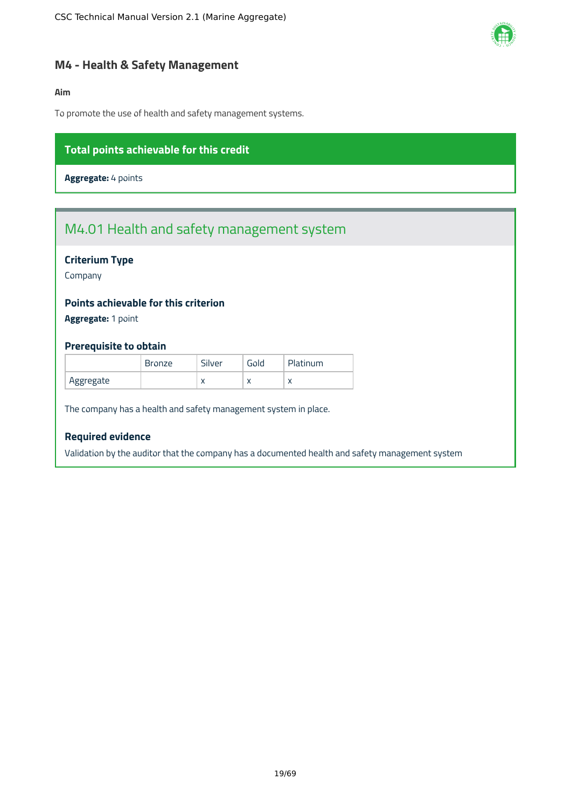

# <span id="page-19-0"></span>**M4 - Health & Safety Management**

# **Aim**

To promote the use of health and safety management systems.

# **Total points achievable for this credit**

**Aggregate:** 4 points

# M4.01 Health and safety management system

# **Criterium Type**

Company

# **Points achievable for this criterion**

**Aggregate:** 1 point

# **Prerequisite to obtain**

|           | <b>Bronze</b> | Silver     | Gold | Platinum  |
|-----------|---------------|------------|------|-----------|
| Aggregate |               | $\sqrt{ }$ | ⌒    | $\lambda$ |

The company has a health and safety management system in place.

# **Required evidence**

Validation by the auditor that the company has a documented health and safety management system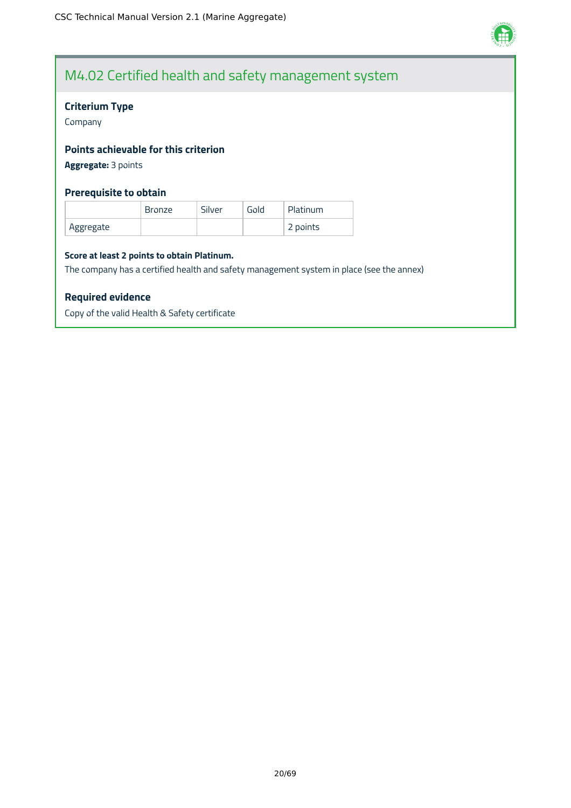

# M4.02 Certified health and safety management system

# **Criterium Type**

Company

# **Points achievable for this criterion**

**Aggregate:** 3 points

# **Prerequisite to obtain**

|           | <b>Bronze</b> | Silver | Gold | Platinum |
|-----------|---------------|--------|------|----------|
| Aggregate |               |        |      | 2 points |

#### **Score at least 2 points to obtain Platinum.**

The company has a certified health and safety management system in place (see the annex)

### **Required evidence**

Copy of the valid Health & Safety certificate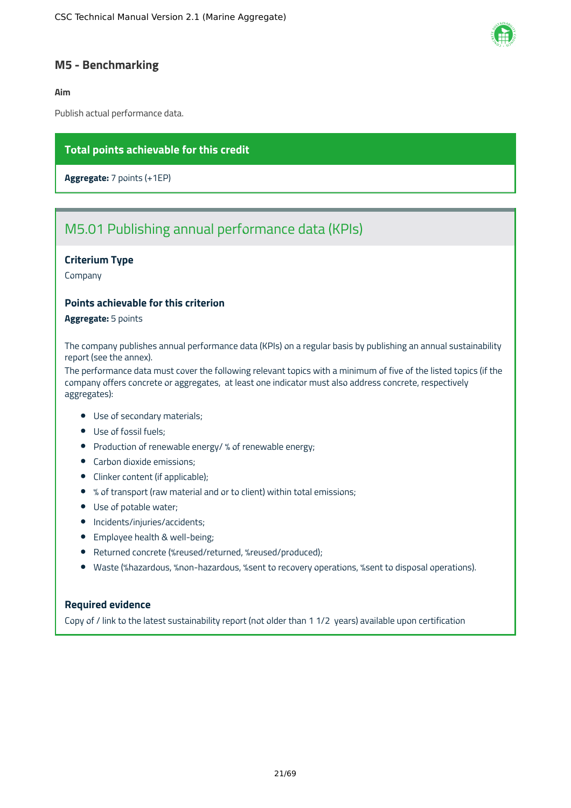

# <span id="page-21-0"></span>**M5 - Benchmarking**

### **Aim**

Publish actual performance data.

# **Total points achievable for this credit**

**Aggregate:** 7 points (+1EP)

# M5.01 Publishing annual performance data (KPIs)

### **Criterium Type**

Company

# **Points achievable for this criterion**

**Aggregate:** 5 points

The company publishes annual performance data (KPIs) on a regular basis by publishing an annual sustainability report (see the annex).

The performance data must cover the following relevant topics with a minimum of five of the listed topics (if the company offers concrete or aggregates, at least one indicator must also address concrete, respectively aggregates):

- Use of secondary materials;
- Use of fossil fuels;
- Production of renewable energy/ % of renewable energy;
- Carbon dioxide emissions;
- Clinker content (if applicable);
- % of transport (raw material and or to client) within total emissions;
- Use of potable water;
- Incidents/injuries/accidents;
- **•** Employee health & well-being;
- Returned concrete (%reused/returned, %reused/produced);
- Waste (%hazardous, %non-hazardous, %sent to recovery operations, %sent to disposal operations).

# **Required evidence**

Copy of / link to the latest sustainability report (not older than 1 1/2 years) available upon certification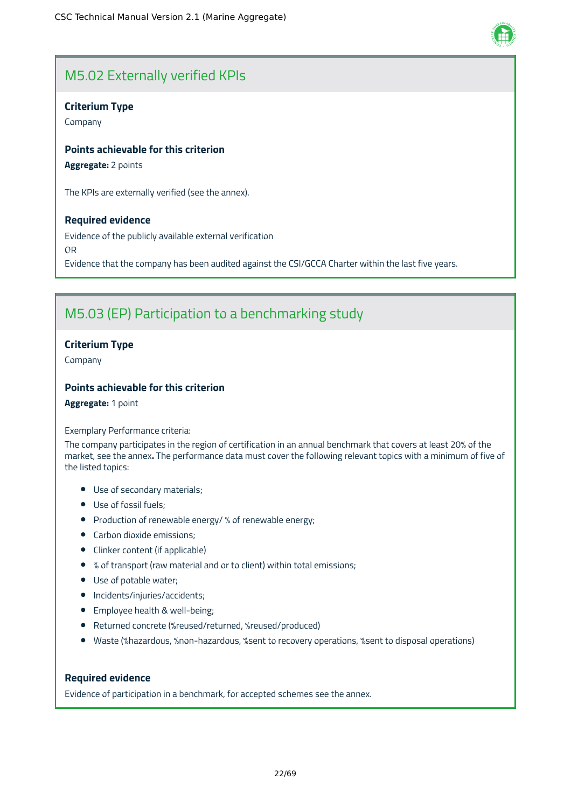

# M5.02 Externally verified KPIs

# **Criterium Type**

Company

# **Points achievable for this criterion**

**Aggregate:** 2 points

The KPIs are externally verified (see the annex).

# **Required evidence**

Evidence of the publicly available external verification OR Evidence that the company has been audited against the CSI/GCCA Charter within the last five years.

# M5.03 (EP) Participation to a benchmarking study

# **Criterium Type**

Company

# **Points achievable for this criterion**

**Aggregate:** 1 point

#### Exemplary Performance criteria:

The company participates in the region of certification in an annual benchmark that covers at least 20% of the market, see the annex**.** The performance data must cover the following relevant topics with a minimum of five of the listed topics:

- Use of secondary materials;
- Use of fossil fuels;
- Production of renewable energy/ % of renewable energy;
- Carbon dioxide emissions;
- Clinker content (if applicable)
- % of transport (raw material and or to client) within total emissions;
- Use of potable water;
- Incidents/injuries/accidents;
- **•** Employee health & well-being;
- Returned concrete (%reused/returned, %reused/produced)
- Waste (%hazardous, %non-hazardous, %sent to recovery operations, %sent to disposal operations)

# **Required evidence**

Evidence of participation in a benchmark, for accepted schemes see the annex.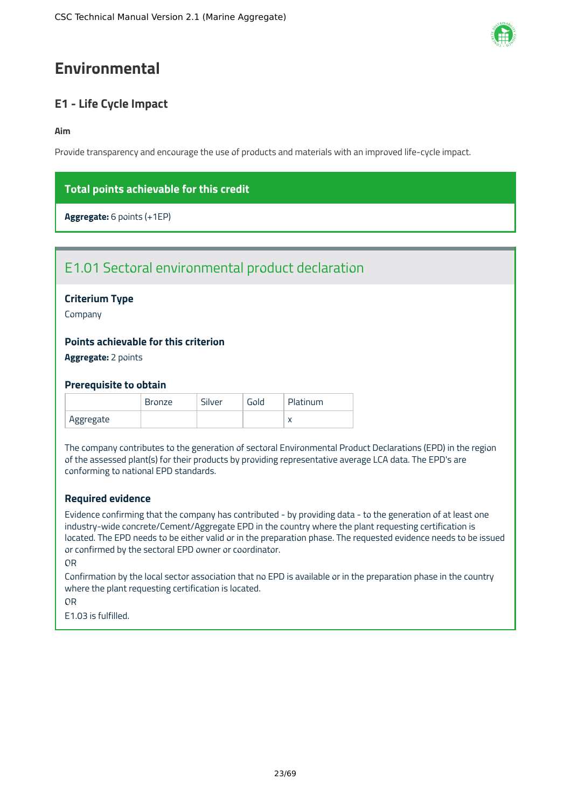# <span id="page-23-0"></span>**Environmental**

# <span id="page-23-1"></span>**E1 - Life Cycle Impact**

# **Aim**

Provide transparency and encourage the use of products and materials with an improved life-cycle impact.

# **Total points achievable for this credit**

**Aggregate:** 6 points (+1EP)

# E1.01 Sectoral environmental product declaration

# **Criterium Type**

Company

# **Points achievable for this criterion**

**Aggregate:** 2 points

# **Prerequisite to obtain**

|           | Bronze | Silver | Gold | Platinum |
|-----------|--------|--------|------|----------|
| Aggregate |        |        |      |          |

The company contributes to the generation of sectoral Environmental Product Declarations (EPD) in the region of the assessed plant(s) for their products by providing representative average LCA data. The EPD's are conforming to national EPD standards.

# **Required evidence**

Evidence confirming that the company has contributed - by providing data - to the generation of at least one industry-wide concrete/Cement/Aggregate EPD in the country where the plant requesting certification is located. The EPD needs to be either valid or in the preparation phase. The requested evidence needs to be issued or confirmed by the sectoral EPD owner or coordinator.

# OR

Confirmation by the local sector association that no EPD is available or in the preparation phase in the country where the plant requesting certification is located.

OR

E1.03 is fulfilled.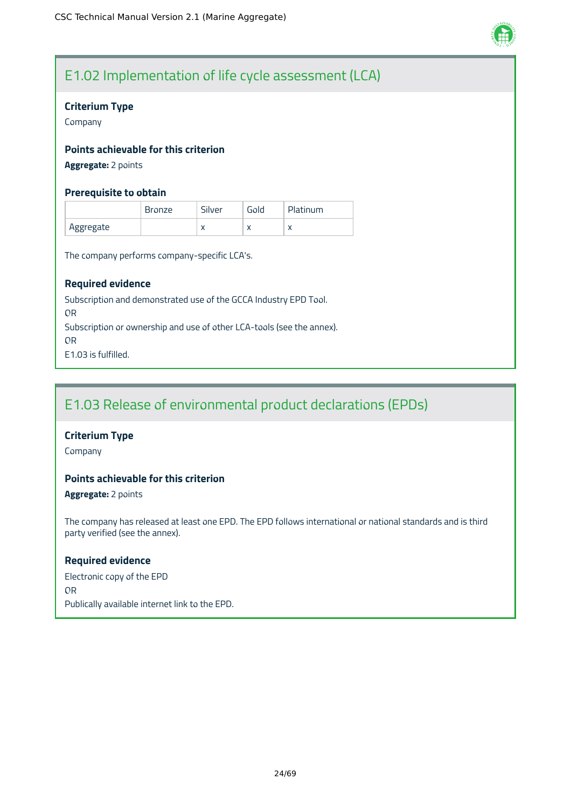

# E1.02 Implementation of life cycle assessment (LCA)

# **Criterium Type**

Company

# **Points achievable for this criterion**

**Aggregate:** 2 points

# **Prerequisite to obtain**

|           | <b>Bronze</b> | Silver    | Gold      | Platinum |
|-----------|---------------|-----------|-----------|----------|
| Aggregate |               | $\lambda$ | $\lambda$ |          |

The company performs company-specific LCA's.

# **Required evidence**

Subscription and demonstrated use of the GCCA Industry EPD Tool. OR Subscription or ownership and use of other LCA-tools (see the annex). OR E1.03 is fulfilled.

# E1.03 Release of environmental product declarations (EPDs)

# **Criterium Type**

Company

# **Points achievable for this criterion**

**Aggregate:** 2 points

The company has released at least one EPD. The EPD follows international or national standards and is third party verified (see the annex).

### **Required evidence**

Electronic copy of the EPD OR Publically available internet link to the EPD.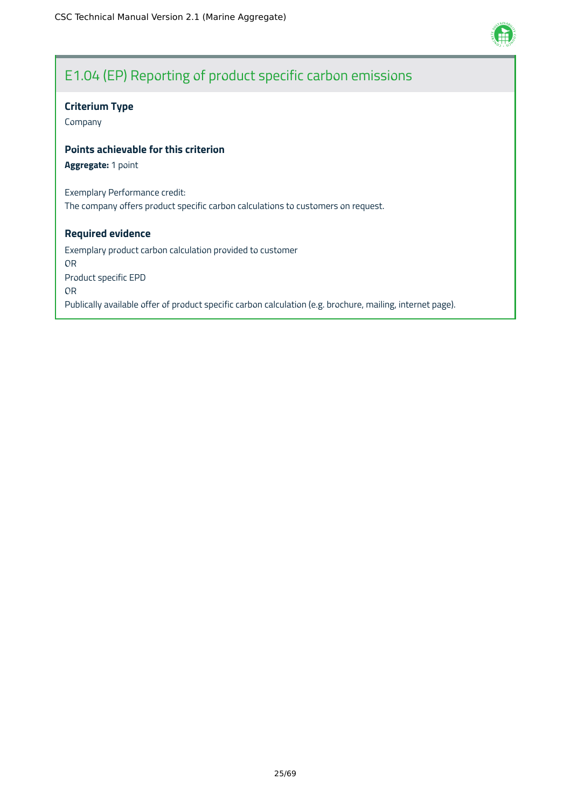

# E1.04 (EP) Reporting of product specific carbon emissions

# **Criterium Type**

Company

# **Points achievable for this criterion**

**Aggregate:** 1 point

Exemplary Performance credit: The company offers product specific carbon calculations to customers on request.

### **Required evidence**

Exemplary product carbon calculation provided to customer OR Product specific EPD OR Publically available offer of product specific carbon calculation (e.g. brochure, mailing, internet page).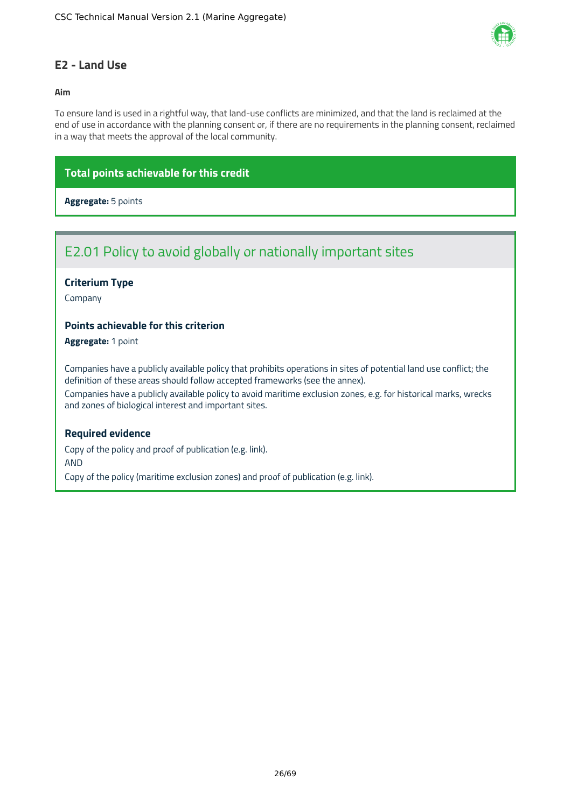

# <span id="page-26-0"></span>**E2 - Land Use**

### **Aim**

To ensure land is used in a rightful way, that land-use conflicts are minimized, and that the land is reclaimed at the end of use in accordance with the planning consent or, if there are no requirements in the planning consent, reclaimed in a way that meets the approval of the local community.

# **Total points achievable for this credit**

# **Aggregate:** 5 points

# E2.01 Policy to avoid globally or nationally important sites

# **Criterium Type**

Company

# **Points achievable for this criterion**

**Aggregate:** 1 point

Companies have a publicly available policy that prohibits operations in sites of potential land use conflict; the definition of these areas should follow accepted frameworks (see the annex).

Companies have a publicly available policy to avoid maritime exclusion zones, e.g. for historical marks, wrecks and zones of biological interest and important sites.

### **Required evidence**

Copy of the policy and proof of publication (e.g. link). AND Copy of the policy (maritime exclusion zones) and proof of publication (e.g. link).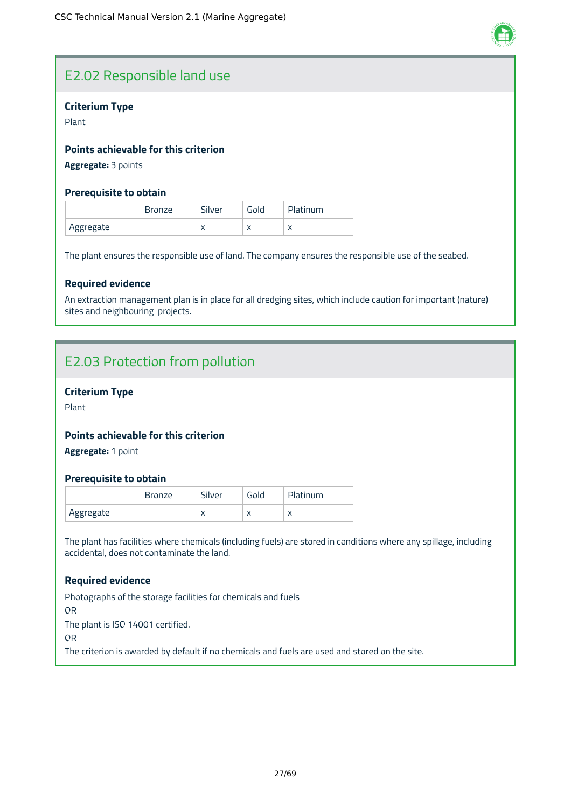

# E2.02 Responsible land use

# **Criterium Type**

Plant

# **Points achievable for this criterion**

**Aggregate:** 3 points

# **Prerequisite to obtain**

|           | <b>Bronze</b> | Silver    | Gold      | Platinum  |
|-----------|---------------|-----------|-----------|-----------|
| Aggregate |               | $\lambda$ | $\lambda$ | $\lambda$ |

The plant ensures the responsible use of land. The company ensures the responsible use of the seabed.

# **Required evidence**

An extraction management plan is in place for all dredging sites, which include caution for important (nature) sites and neighbouring projects.

# E2.03 Protection from pollution

### **Criterium Type**

Plant

# **Points achievable for this criterion**

**Aggregate:** 1 point

### **Prerequisite to obtain**

|           | <b>Bronze</b> | Silver    | <b>Gold</b> | Platinum |
|-----------|---------------|-----------|-------------|----------|
| Aggregate |               | $\lambda$ | $\lambda$   |          |

The plant has facilities where chemicals (including fuels) are stored in conditions where any spillage, including accidental, does not contaminate the land.

### **Required evidence**

Photographs of the storage facilities for chemicals and fuels OR The plant is ISO 14001 certified. OR The criterion is awarded by default if no chemicals and fuels are used and stored on the site.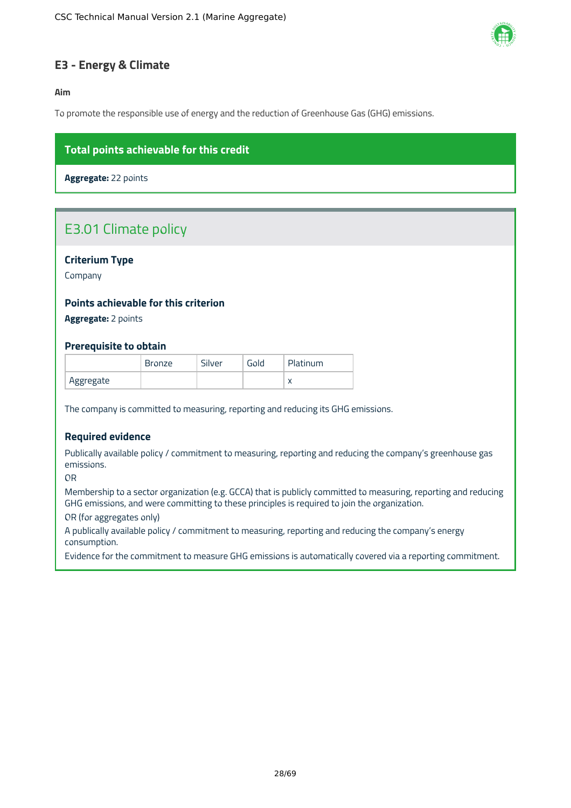

# <span id="page-28-0"></span>**E3 - Energy & Climate**

**Aim**

To promote the responsible use of energy and the reduction of Greenhouse Gas (GHG) emissions.

# **Total points achievable for this credit**

**Aggregate:** 22 points

# E3.01 Climate policy

# **Criterium Type**

Company

# **Points achievable for this criterion**

**Aggregate:** 2 points

### **Prerequisite to obtain**

|           | <b>Bronze</b> | Silver | Gold | Platinum  |
|-----------|---------------|--------|------|-----------|
| Aggregate |               |        |      | $\lambda$ |

The company is committed to measuring, reporting and reducing its GHG emissions.

### **Required evidence**

Publically available policy / commitment to measuring, reporting and reducing the company's greenhouse gas emissions.

OR

Membership to a sector organization (e.g. GCCA) that is publicly committed to measuring, reporting and reducing GHG emissions, and were committing to these principles is required to join the organization.

OR (for aggregates only)

A publically available policy / commitment to measuring, reporting and reducing the company's energy consumption.

Evidence for the commitment to measure GHG emissions is automatically covered via a reporting commitment.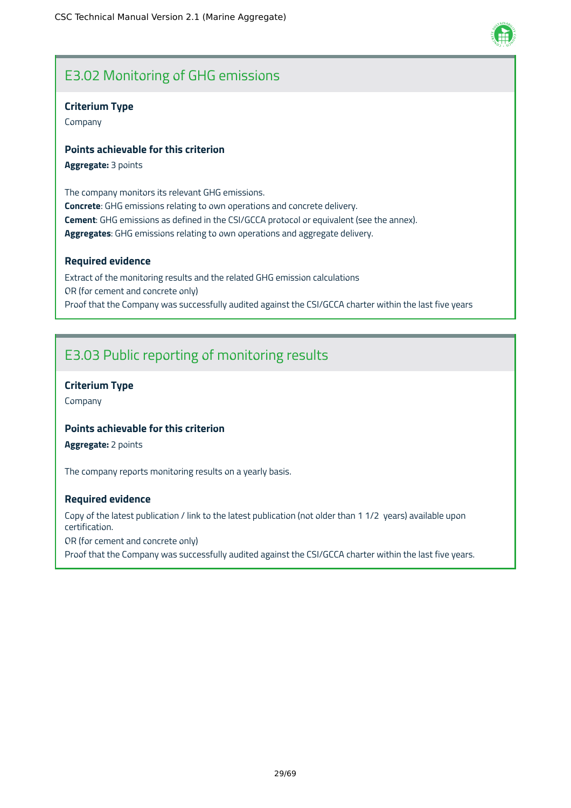# E3.02 Monitoring of GHG emissions

# **Criterium Type**

Company

# **Points achievable for this criterion**

**Aggregate:** 3 points

The company monitors its relevant GHG emissions. **Concrete**: GHG emissions relating to own operations and concrete delivery. **Cement**: GHG emissions as defined in the CSI/GCCA protocol or equivalent (see the annex). **Aggregates**: GHG emissions relating to own operations and aggregate delivery.

# **Required evidence**

Extract of the monitoring results and the related GHG emission calculations OR (for cement and concrete only) Proof that the Company was successfully audited against the CSI/GCCA charter within the last five years

# E3.03 Public reporting of monitoring results

# **Criterium Type**

Company

# **Points achievable for this criterion**

**Aggregate:** 2 points

The company reports monitoring results on a yearly basis.

### **Required evidence**

Copy of the latest publication / link to the latest publication (not older than 1 1/2 years) available upon certification.

OR (for cement and concrete only)

Proof that the Company was successfully audited against the CSI/GCCA charter within the last five years.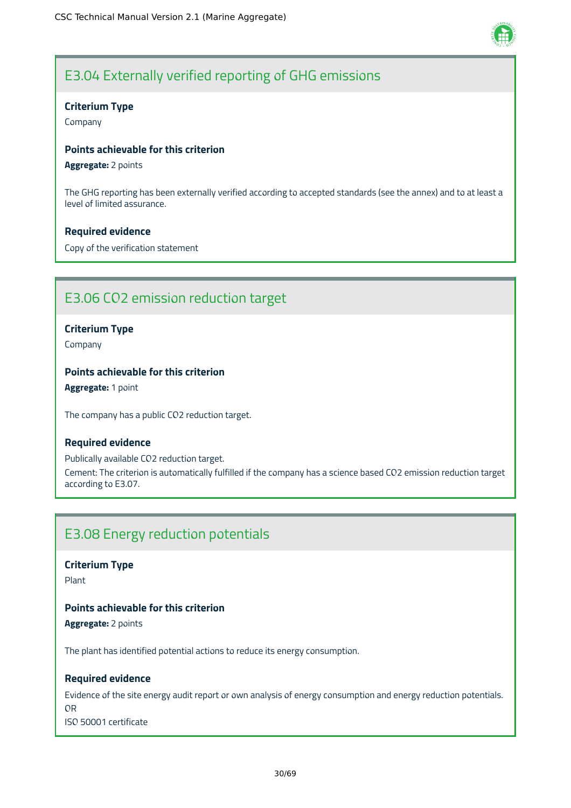

# E3.04 Externally verified reporting of GHG emissions

# **Criterium Type**

Company

# **Points achievable for this criterion**

**Aggregate:** 2 points

The GHG reporting has been externally verified according to accepted standards (see the annex) and to at least a level of limited assurance.

# **Required evidence**

Copy of the verification statement

# E3.06 CO2 emission reduction target

# **Criterium Type**

Company

# **Points achievable for this criterion**

**Aggregate:** 1 point

The company has a public CO2 reduction target.

### **Required evidence**

Publically available CO2 reduction target. Cement: The criterion is automatically fulfilled if the company has a science based CO2 emission reduction target according to E3.07.

# E3.08 Energy reduction potentials

**Criterium Type**

Plant

# **Points achievable for this criterion**

**Aggregate:** 2 points

The plant has identified potential actions to reduce its energy consumption.

# **Required evidence**

Evidence of the site energy audit report or own analysis of energy consumption and energy reduction potentials. OR ISO 50001 certificate

30/69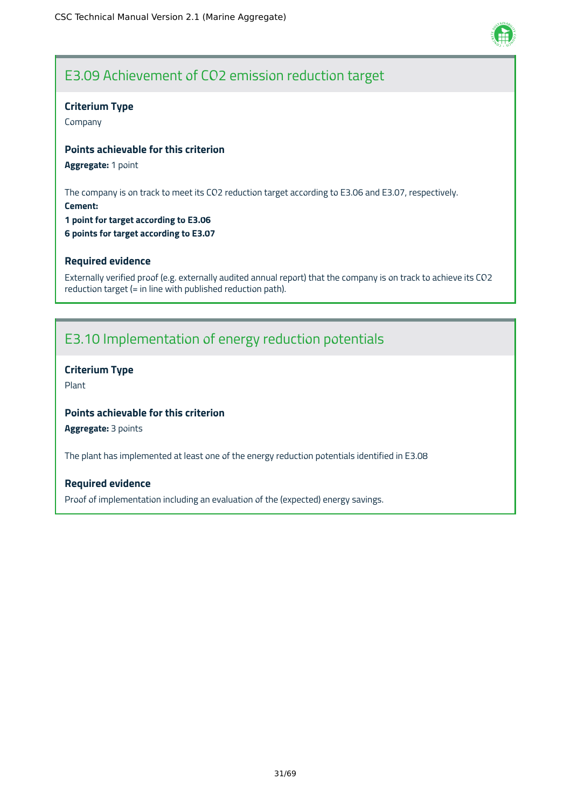

# E3.09 Achievement of CO2 emission reduction target

### **Criterium Type**

Company

# **Points achievable for this criterion**

**Aggregate:** 1 point

The company is on track to meet its CO2 reduction target according to E3.06 and E3.07, respectively.

**Cement: 1 point for target according to E3.06**

**6 points for target according to E3.07**

# **Required evidence**

Externally verified proof (e.g. externally audited annual report) that the company is on track to achieve its CO2 reduction target (= in line with published reduction path).

# E3.10 Implementation of energy reduction potentials

# **Criterium Type**

Plant

# **Points achievable for this criterion**

**Aggregate:** 3 points

The plant has implemented at least one of the energy reduction potentials identified in E3.08

### **Required evidence**

Proof of implementation including an evaluation of the (expected) energy savings.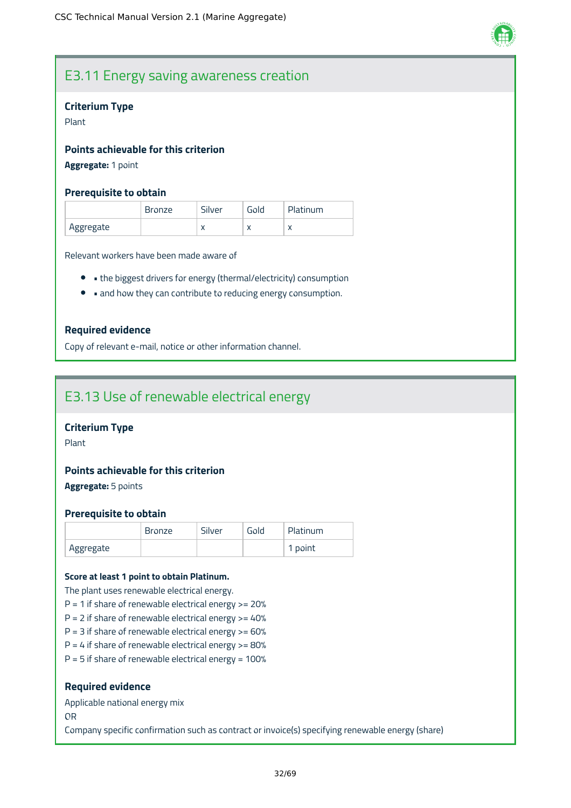

# E3.11 Energy saving awareness creation

#### **Criterium Type**

Plant

# **Points achievable for this criterion**

# **Aggregate:** 1 point

#### **Prerequisite to obtain**

|           | <b>Bronze</b> | Silver    | Gold      | Platinum  |
|-----------|---------------|-----------|-----------|-----------|
| Aggregate |               | $\lambda$ | $\lambda$ | $\lambda$ |

Relevant workers have been made aware of

- the biggest drivers for energy (thermal/electricity) consumption
- and how they can contribute to reducing energy consumption.

### **Required evidence**

Copy of relevant e-mail, notice or other information channel.

# E3.13 Use of renewable electrical energy

# **Criterium Type**

Plant

# **Points achievable for this criterion**

**Aggregate:** 5 points

#### **Prerequisite to obtain**

|           | <b>Bronze</b> | Silver | Gold | Platinum |
|-----------|---------------|--------|------|----------|
| Aggregate |               |        |      | 1 point  |

#### **Score at least 1 point to obtain Platinum.**

The plant uses renewable electrical energy.

- $P = 1$  if share of renewable electrical energy  $> = 20%$
- $P = 2$  if share of renewable electrical energy  $> = 40\%$
- $P = 3$  if share of renewable electrical energy  $> = 60\%$
- $P = 4$  if share of renewable electrical energy  $> = 80%$
- $P = 5$  if share of renewable electrical energy = 100%

#### **Required evidence**

Applicable national energy mix

OR

Company specific confirmation such as contract or invoice(s) specifying renewable energy (share)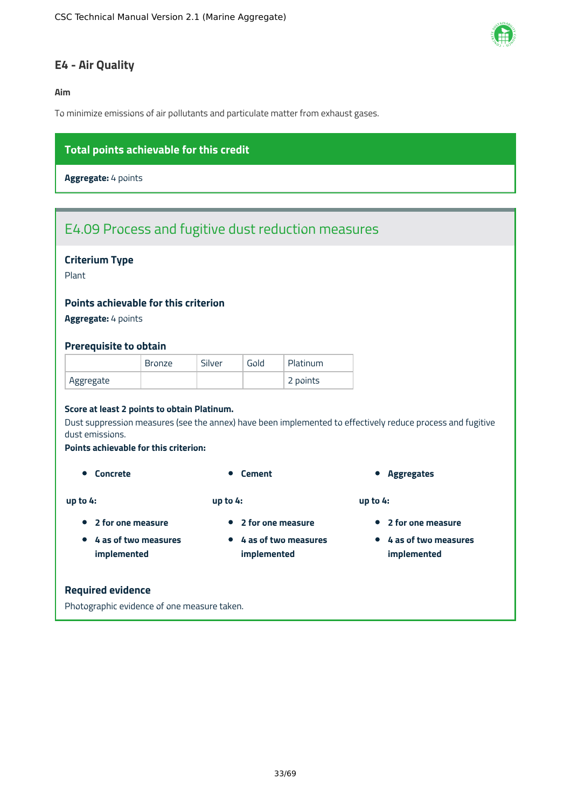

# <span id="page-33-0"></span>**E4 - Air Quality**

**Aim**

To minimize emissions of air pollutants and particulate matter from exhaust gases.

# **Total points achievable for this credit**

**Aggregate:** 4 points

# E4.09 Process and fugitive dust reduction measures

# **Criterium Type**

Plant

### **Points achievable for this criterion**

**Aggregate:** 4 points

#### **Prerequisite to obtain**

|           | <b>Bronze</b> | Silver | Gold | Platinum |
|-----------|---------------|--------|------|----------|
| Aggregate |               |        |      | 2 points |

#### **Score at least 2 points to obtain Platinum.**

Dust suppression measures (see the annex) have been implemented to effectively reduce process and fugitive dust emissions.

#### **Points achievable for this criterion:**

**4 as of two measures implemented**

**up to 4:**

**up to 4:**

- 
- **2 for one measure**
- **4 as of two measures implemented**

**2 for one measure**

**Concrete Concrete Cement Aggregates** 

**up to 4:**

- **2 for one measure**
- **4 as of two measures implemented**

#### **Required evidence**

Photographic evidence of one measure taken.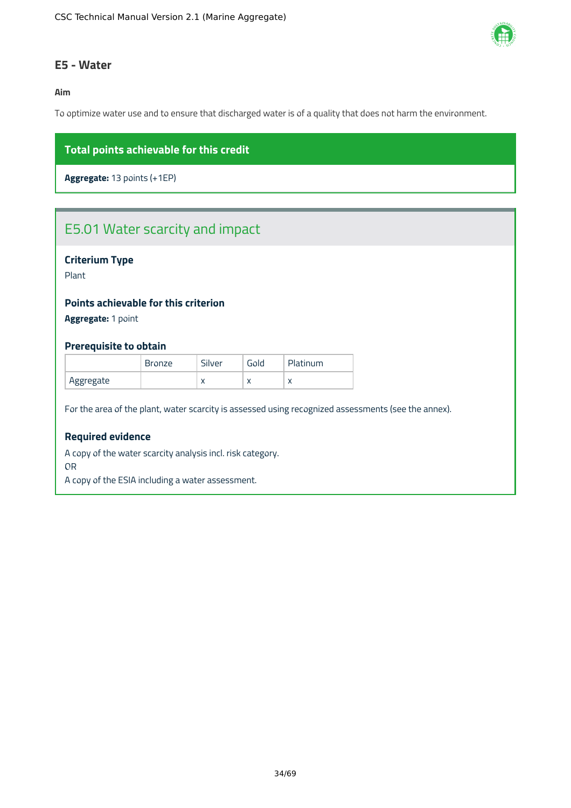

# <span id="page-34-0"></span>**E5 - Water**

### **Aim**

To optimize water use and to ensure that discharged water is of a quality that does not harm the environment.

# **Total points achievable for this credit**

**Aggregate:** 13 points (+1EP)

# E5.01 Water scarcity and impact

# **Criterium Type**

Plant

# **Points achievable for this criterion**

**Aggregate:** 1 point

### **Prerequisite to obtain**

|           | <b>Bronze</b> | Silver       | Gold      | Platinum  |
|-----------|---------------|--------------|-----------|-----------|
| Aggregate |               | $\mathbf{v}$ | $\lambda$ | $\lambda$ |

For the area of the plant, water scarcity is assessed using recognized assessments (see the annex).

# **Required evidence**

A copy of the water scarcity analysis incl. risk category.

OR

A copy of the ESIA including a water assessment.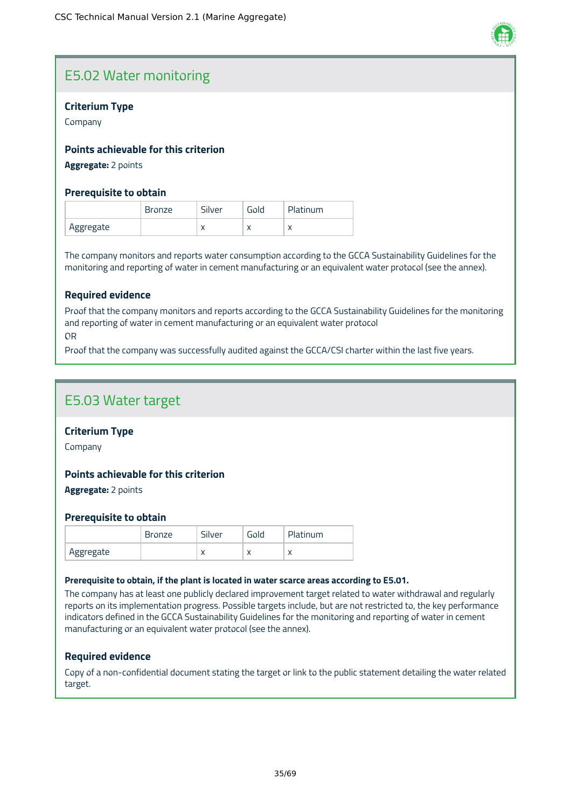

# E5.02 Water monitoring

# **Criterium Type**

Company

# **Points achievable for this criterion**

**Aggregate:** 2 points

# **Prerequisite to obtain**

|           | <b>Bronze</b> | Silver    | Gold      | Platinum |
|-----------|---------------|-----------|-----------|----------|
| Aggregate |               | $\lambda$ | $\lambda$ |          |

The company monitors and reports water consumption according to the GCCA Sustainability Guidelines for the monitoring and reporting of water in cement manufacturing or an equivalent water protocol (see the annex).

# **Required evidence**

Proof that the company monitors and reports according to the GCCA Sustainability Guidelines for the monitoring and reporting of water in cement manufacturing or an equivalent water protocol OR

Proof that the company was successfully audited against the GCCA/CSI charter within the last five years.

# E5.03 Water target

### **Criterium Type**

Company

### **Points achievable for this criterion**

**Aggregate:** 2 points

### **Prerequisite to obtain**

|           | <b>Bronze</b> | Silver    | Gold | Platinum |
|-----------|---------------|-----------|------|----------|
| Aggregate |               | $\lambda$ | ∧    |          |

#### **Prerequisite to obtain, if the plant is located in water scarce areas according to E5.01.**

The company has at least one publicly declared improvement target related to water withdrawal and regularly reports on its implementation progress. Possible targets include, but are not restricted to, the key performance indicators defined in the GCCA Sustainability Guidelines for the monitoring and reporting of water in cement manufacturing or an equivalent water protocol (see the annex).

### **Required evidence**

Copy of a non-confidential document stating the target or link to the public statement detailing the water related target.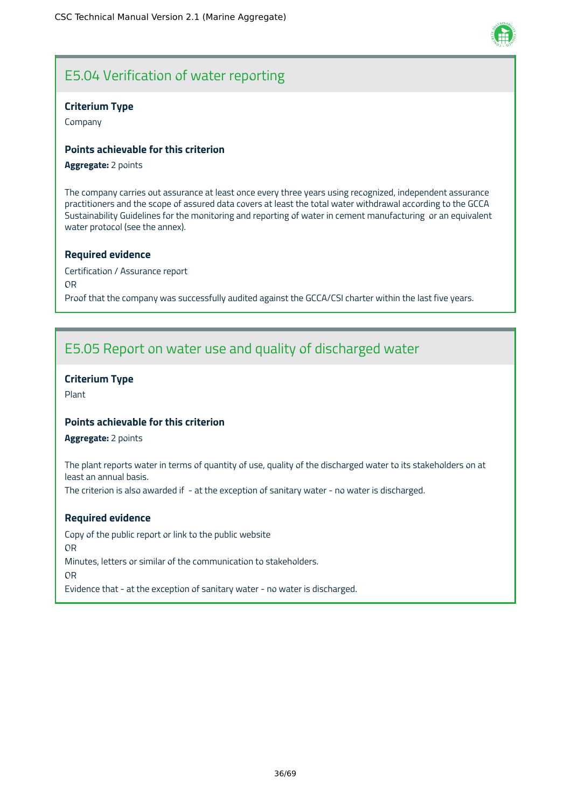

# E5.04 Verification of water reporting

# **Criterium Type**

Company

# **Points achievable for this criterion**

#### **Aggregate:** 2 points

The company carries out assurance at least once every three years using recognized, independent assurance practitioners and the scope of assured data covers at least the total water withdrawal according to the GCCA Sustainability Guidelines for the monitoring and reporting of water in cement manufacturing or an equivalent water protocol (see the annex).

### **Required evidence**

Certification / Assurance report OR Proof that the company was successfully audited against the GCCA/CSI charter within the last five years.

# E5.05 Report on water use and quality of discharged water

# **Criterium Type**

Plant

# **Points achievable for this criterion**

**Aggregate:** 2 points

The plant reports water in terms of quantity of use, quality of the discharged water to its stakeholders on at least an annual basis.

The criterion is also awarded if - at the exception of sanitary water - no water is discharged.

### **Required evidence**

Copy of the public report or link to the public website OR Minutes, letters or similar of the communication to stakeholders. OR Evidence that - at the exception of sanitary water - no water is discharged.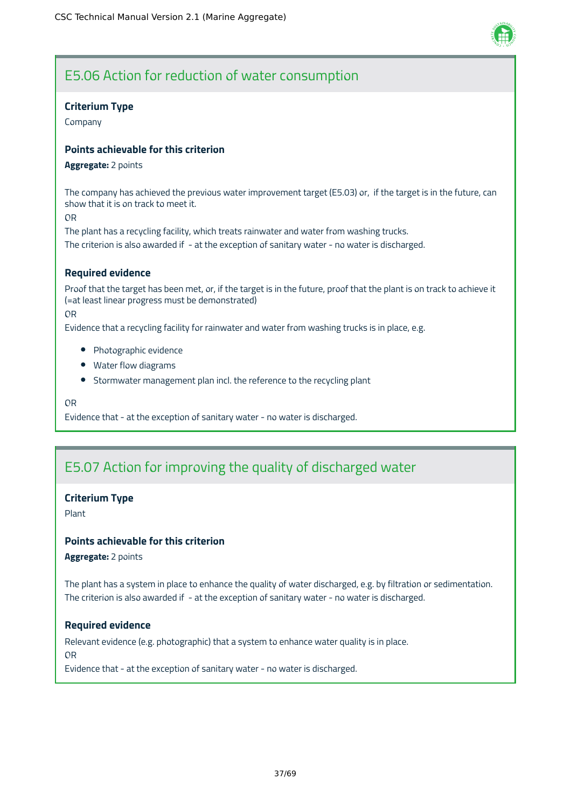

# E5.06 Action for reduction of water consumption

# **Criterium Type**

Company

# **Points achievable for this criterion**

#### **Aggregate:** 2 points

The company has achieved the previous water improvement target (E5.03) or, if the target is in the future, can show that it is on track to meet it.

OR

The plant has a recycling facility, which treats rainwater and water from washing trucks. The criterion is also awarded if - at the exception of sanitary water - no water is discharged.

# **Required evidence**

Proof that the target has been met, or, if the target is in the future, proof that the plant is on track to achieve it (=at least linear progress must be demonstrated)

OR

Evidence that a recycling facility for rainwater and water from washing trucks is in place, e.g.

- Photographic evidence
- Water flow diagrams
- Stormwater management plan incl. the reference to the recycling plant

OR

Evidence that - at the exception of sanitary water - no water is discharged.

# E5.07 Action for improving the quality of discharged water

# **Criterium Type**

Plant

# **Points achievable for this criterion**

**Aggregate:** 2 points

The plant has a system in place to enhance the quality of water discharged, e.g. by filtration or sedimentation. The criterion is also awarded if - at the exception of sanitary water - no water is discharged.

### **Required evidence**

Relevant evidence (e.g. photographic) that a system to enhance water quality is in place. OR

Evidence that - at the exception of sanitary water - no water is discharged.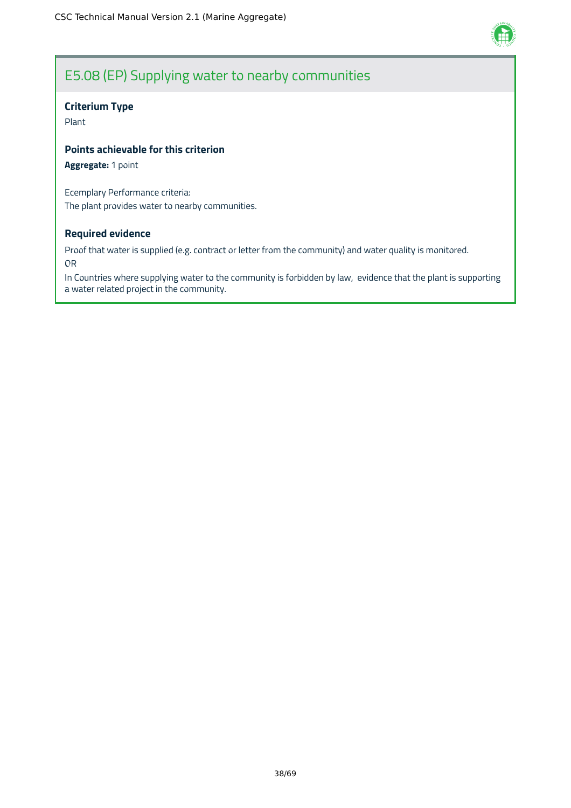

# E5.08 (EP) Supplying water to nearby communities

# **Criterium Type**

Plant

# **Points achievable for this criterion**

**Aggregate:** 1 point

Ecemplary Performance criteria: The plant provides water to nearby communities.

# **Required evidence**

Proof that water is supplied (e.g. contract or letter from the community) and water quality is monitored. OR

In Countries where supplying water to the community is forbidden by law, evidence that the plant is supporting a water related project in the community.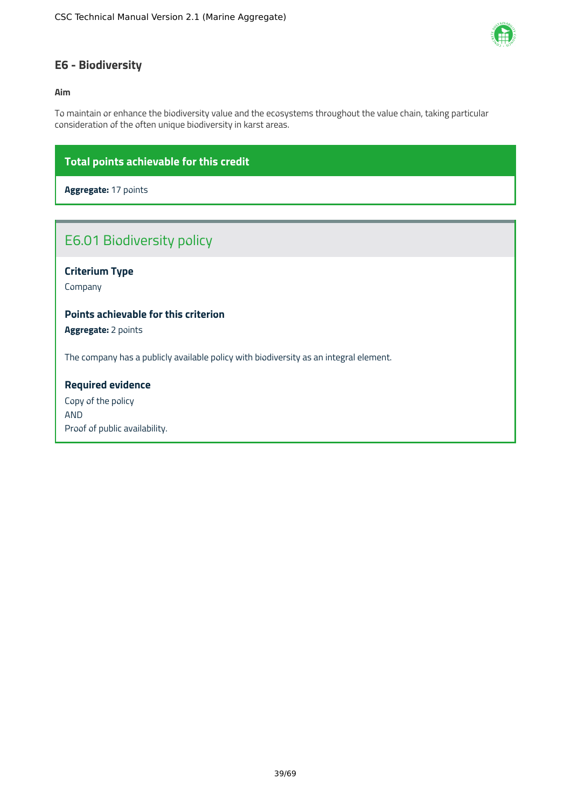

# <span id="page-39-0"></span>**E6 - Biodiversity**

### **Aim**

To maintain or enhance the biodiversity value and the ecosystems throughout the value chain, taking particular consideration of the often unique biodiversity in karst areas.

# **Total points achievable for this credit**

**Aggregate:** 17 points

# E6.01 Biodiversity policy

# **Criterium Type**

Company

# **Points achievable for this criterion**

**Aggregate:** 2 points

The company has a publicly available policy with biodiversity as an integral element.

# **Required evidence**

Copy of the policy AND Proof of public availability.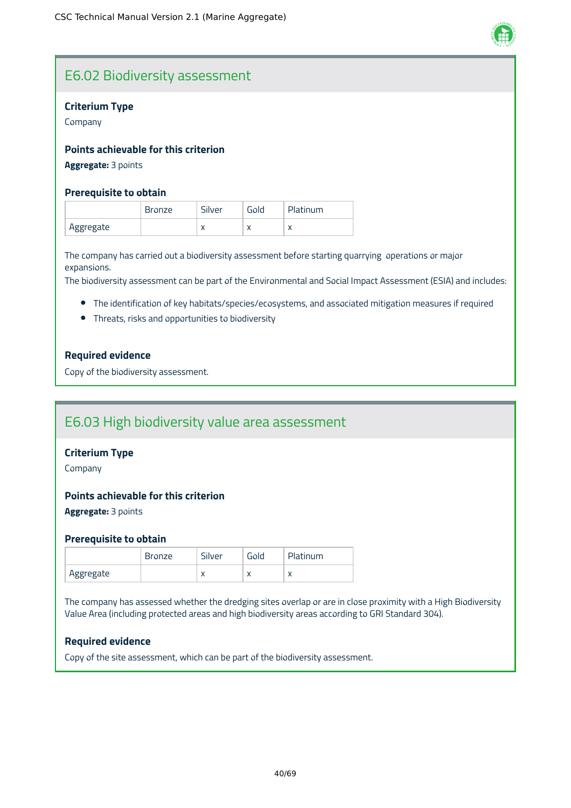

# E6.02 Biodiversity assessment

# **Criterium Type**

Company

# **Points achievable for this criterion**

**Aggregate:** 3 points

# **Prerequisite to obtain**

|           | <b>Bronze</b> | Silver    | Gold      | Platinum |
|-----------|---------------|-----------|-----------|----------|
| Aggregate |               | $\lambda$ | $\lambda$ |          |

The company has carried out a biodiversity assessment before starting quarrying operations or major expansions.

The biodiversity assessment can be part of the Environmental and Social Impact Assessment (ESIA) and includes:

- The identification of key habitats/species/ecosystems, and associated mitigation measures if required
- Threats, risks and opportunities to biodiversity

# **Required evidence**

Copy of the biodiversity assessment.

# E6.03 High biodiversity value area assessment

# **Criterium Type**

Company

### **Points achievable for this criterion**

**Aggregate:** 3 points

### **Prerequisite to obtain**

|           | Bronze | Silver       | Gold      | Platinum  |
|-----------|--------|--------------|-----------|-----------|
| Aggregate |        | $\mathbf{v}$ | $\lambda$ | $\lambda$ |

The company has assessed whether the dredging sites overlap or are in close proximity with a High Biodiversity Value Area (including protected areas and high biodiversity areas according to GRI Standard 304).

### **Required evidence**

Copy of the site assessment, which can be part of the biodiversity assessment.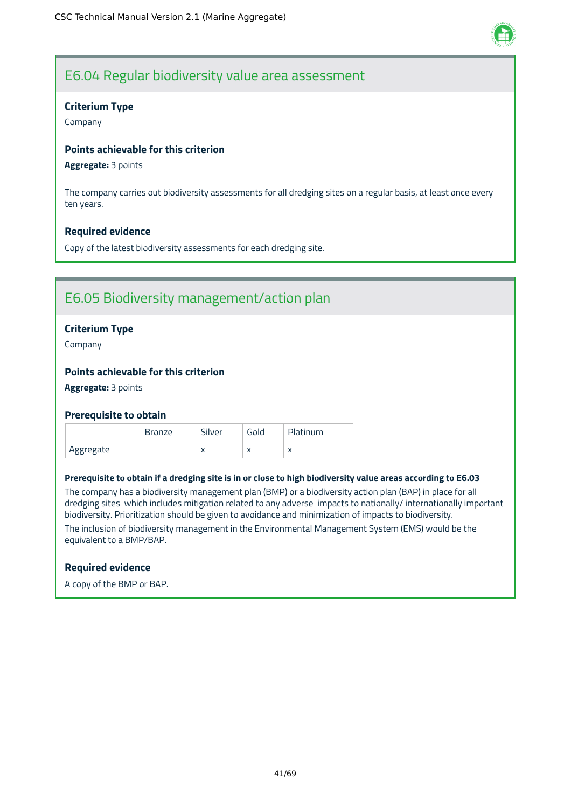

# E6.04 Regular biodiversity value area assessment

# **Criterium Type**

Company

# **Points achievable for this criterion**

#### **Aggregate:** 3 points

The company carries out biodiversity assessments for all dredging sites on a regular basis, at least once every ten years.

# **Required evidence**

Copy of the latest biodiversity assessments for each dredging site.

# E6.05 Biodiversity management/action plan

# **Criterium Type**

Company

# **Points achievable for this criterion**

**Aggregate:** 3 points

### **Prerequisite to obtain**

|           | <b>Bronze</b> | Silver    | Gold      | Platinum  |
|-----------|---------------|-----------|-----------|-----------|
| Aggregate |               | $\lambda$ | $\lambda$ | $\lambda$ |

#### Prerequisite to obtain if a dredging site is in or close to high biodiversity value areas according to E6.03

The company has a biodiversity management plan (BMP) or a biodiversity action plan (BAP) in place for all dredging sites which includes mitigation related to any adverse impacts to nationally/ internationally important biodiversity. Prioritization should be given to avoidance and minimization of impacts to biodiversity. The inclusion of biodiversity management in the Environmental Management System (EMS) would be the

equivalent to a BMP/BAP.

### **Required evidence**

A copy of the BMP or BAP.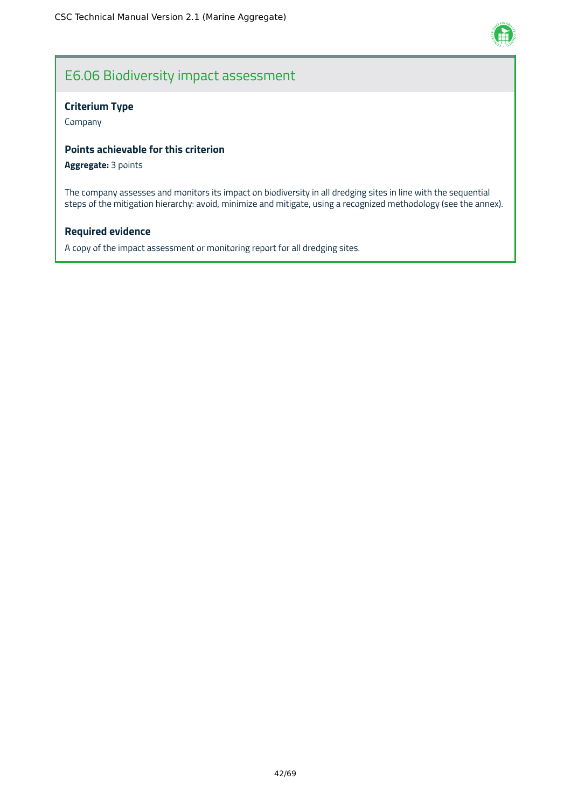

# E6.06 Biodiversity impact assessment

# **Criterium Type**

Company

# **Points achievable for this criterion**

**Aggregate:** 3 points

The company assesses and monitors its impact on biodiversity in all dredging sites in line with the sequential steps of the mitigation hierarchy: avoid, minimize and mitigate, using a recognized methodology (see the annex).

# **Required evidence**

A copy of the impact assessment or monitoring report for all dredging sites.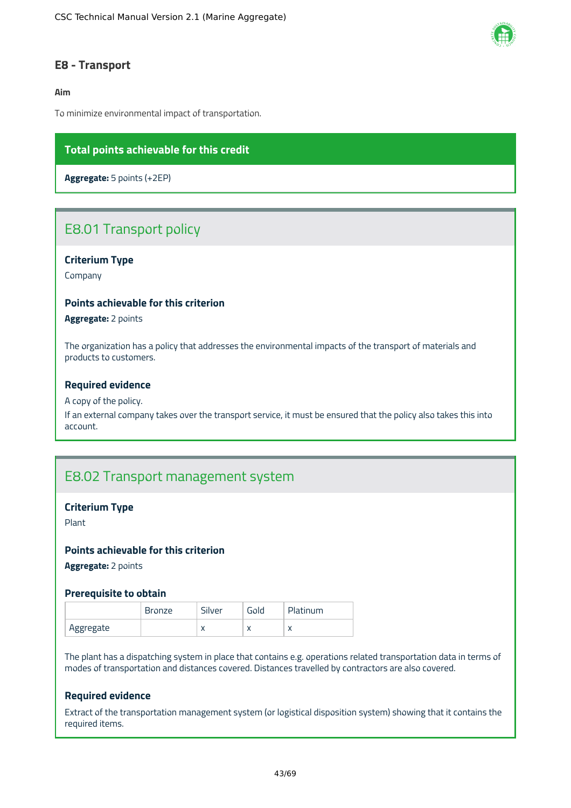

# <span id="page-43-0"></span>**E8 - Transport**

### **Aim**

To minimize environmental impact of transportation.

# **Total points achievable for this credit**

**Aggregate:** 5 points (+2EP)

# E8.01 Transport policy

### **Criterium Type**

Company

#### **Points achievable for this criterion**

**Aggregate:** 2 points

The organization has a policy that addresses the environmental impacts of the transport of materials and products to customers.

#### **Required evidence**

#### A copy of the policy.

If an external company takes over the transport service, it must be ensured that the policy also takes this into account.

# E8.02 Transport management system

#### **Criterium Type**

Plant

#### **Points achievable for this criterion**

**Aggregate:** 2 points

#### **Prerequisite to obtain**

|           | <b>Bronze</b> | Silver    | Gola | Platinum |
|-----------|---------------|-----------|------|----------|
| Aggregate |               | $\lambda$ | ◠    |          |

The plant has a dispatching system in place that contains e.g. operations related transportation data in terms of modes of transportation and distances covered. Distances travelled by contractors are also covered.

### **Required evidence**

Extract of the transportation management system (or logistical disposition system) showing that it contains the required items.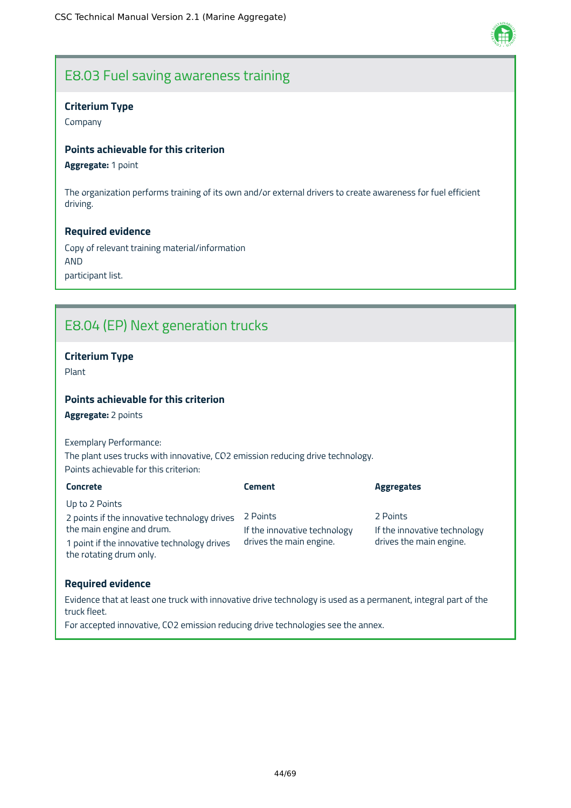

# E8.03 Fuel saving awareness training

# **Criterium Type**

Company

# **Points achievable for this criterion**

# **Aggregate:** 1 point

The organization performs training of its own and/or external drivers to create awareness for fuel efficient driving.

### **Required evidence**

Copy of relevant training material/information AND participant list.

# E8.04 (EP) Next generation trucks

# **Criterium Type**

Plant

# **Points achievable for this criterion**

**Aggregate:** 2 points

Exemplary Performance: The plant uses trucks with innovative, CO2 emission reducing drive technology. Points achievable for this criterion:

| <b>Concrete</b>                                                        | <b>Cement</b>                | <b>Aggregates</b>            |
|------------------------------------------------------------------------|------------------------------|------------------------------|
| Up to 2 Points                                                         |                              |                              |
| 2 points if the innovative technology drives                           | 2 Points                     | 2 Points                     |
| the main engine and drum.                                              | If the innovative technology | If the innovative technology |
| 1 point if the innovative technology drives<br>the rotating drum only. | drives the main engine.      | drives the main engine.      |

### **Required evidence**

Evidence that at least one truck with innovative drive technology is used as a permanent, integral part of the truck fleet.

For accepted innovative, CO2 emission reducing drive technologies see the annex.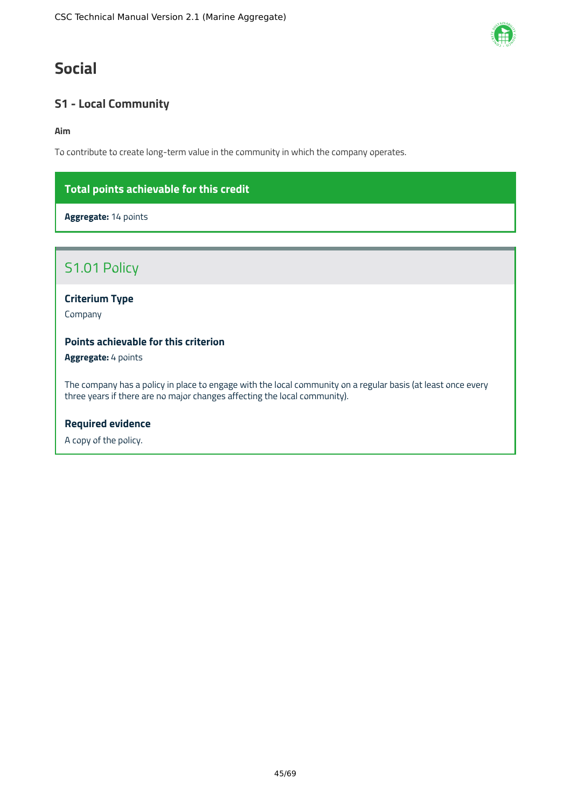# <span id="page-45-0"></span>**Social**

# <span id="page-45-1"></span>**S1 - Local Community**

**Aim**

To contribute to create long-term value in the community in which the company operates.

# **Total points achievable for this credit**

**Aggregate:** 14 points

# S1.01 Policy

**Criterium Type**

Company

# **Points achievable for this criterion**

**Aggregate:** 4 points

The company has a policy in place to engage with the local community on a regular basis (at least once every three years if there are no major changes affecting the local community).

# **Required evidence**

A copy of the policy.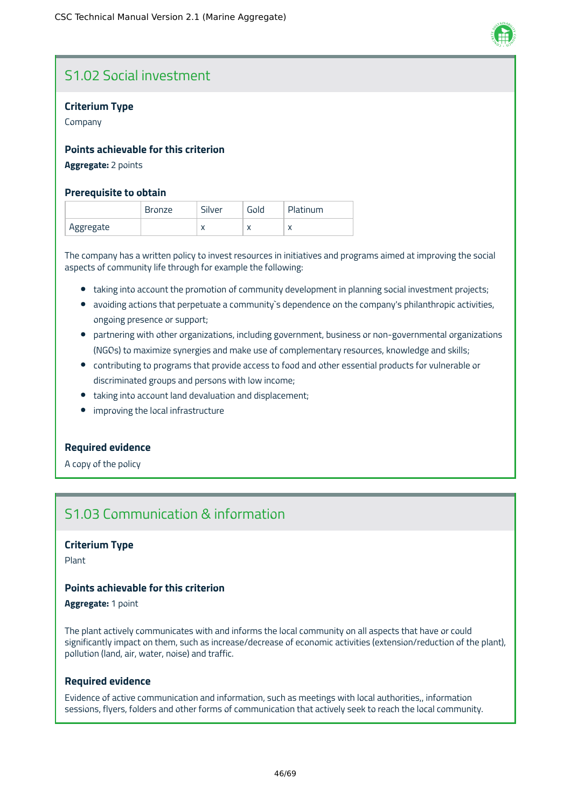

# S1.02 Social investment

# **Criterium Type**

Company

# **Points achievable for this criterion**

#### **Aggregate:** 2 points

### **Prerequisite to obtain**

|           | <b>Bronze</b> | Silver    | Gold      | Platinum                 |
|-----------|---------------|-----------|-----------|--------------------------|
| Aggregate |               | $\lambda$ | $\lambda$ | $\overline{\phantom{a}}$ |

The company has a written policy to invest resources in initiatives and programs aimed at improving the social aspects of community life through for example the following:

- taking into account the promotion of community development in planning social investment projects;
- avoiding actions that perpetuate a community's dependence on the company's philanthropic activities, ongoing presence or support;
- partnering with other organizations, including government, business or non-governmental organizations (NGOs) to maximize synergies and make use of complementary resources, knowledge and skills;
- contributing to programs that provide access to food and other essential products for vulnerable or discriminated groups and persons with low income;
- taking into account land devaluation and displacement;
- **•** improving the local infrastructure

### **Required evidence**

A copy of the policy

# S1.03 Communication & information

### **Criterium Type**

Plant

# **Points achievable for this criterion**

**Aggregate:** 1 point

The plant actively communicates with and informs the local community on all aspects that have or could significantly impact on them, such as increase/decrease of economic activities (extension/reduction of the plant), pollution (land, air, water, noise) and traffic.

### **Required evidence**

Evidence of active communication and information, such as meetings with local authorities,, information sessions, flyers, folders and other forms of communication that actively seek to reach the local community.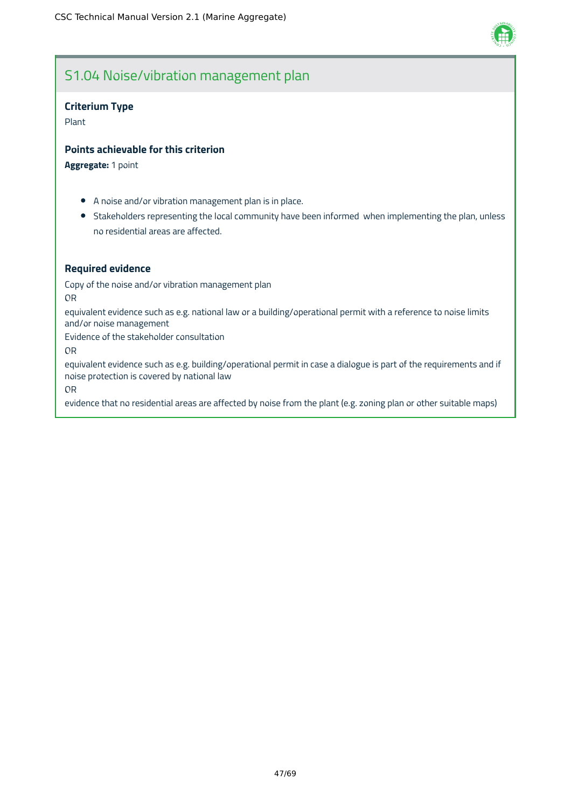

# S1.04 Noise/vibration management plan

### **Criterium Type**

Plant

# **Points achievable for this criterion**

**Aggregate:** 1 point

- A noise and/or vibration management plan is in place.
- Stakeholders representing the local community have been informed when implementing the plan, unless no residential areas are affected.

# **Required evidence**

Copy of the noise and/or vibration management plan

OR

equivalent evidence such as e.g. national law or a building/operational permit with a reference to noise limits and/or noise management

Evidence of the stakeholder consultation

OR

equivalent evidence such as e.g. building/operational permit in case a dialogue is part of the requirements and if noise protection is covered by national law

OR

evidence that no residential areas are affected by noise from the plant (e.g. zoning plan or other suitable maps)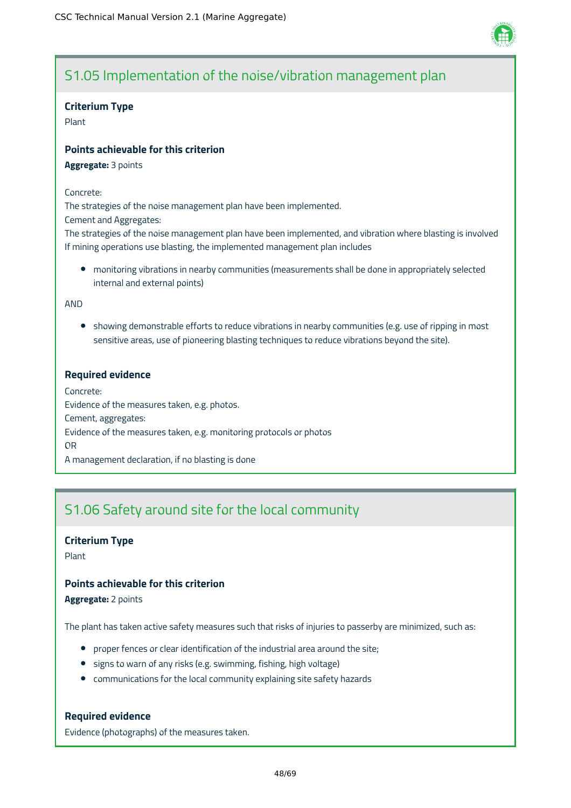

# S1.05 Implementation of the noise/vibration management plan

### **Criterium Type**

Plant

# **Points achievable for this criterion**

**Aggregate:** 3 points

#### Concrete:

The strategies of the noise management plan have been implemented.

Cement and Aggregates:

The strategies of the noise management plan have been implemented, and vibration where blasting is involved If mining operations use blasting, the implemented management plan includes

monitoring vibrations in nearby communities (measurements shall be done in appropriately selected internal and external points)

AND

• showing demonstrable efforts to reduce vibrations in nearby communities (e.g. use of ripping in most sensitive areas, use of pioneering blasting techniques to reduce vibrations beyond the site).

# **Required evidence**

Concrete: Evidence of the measures taken, e.g. photos. Cement, aggregates: Evidence of the measures taken, e.g. monitoring protocols or photos OR A management declaration, if no blasting is done

# S1.06 Safety around site for the local community

# **Criterium Type**

Plant

# **Points achievable for this criterion**

**Aggregate:** 2 points

The plant has taken active safety measures such that risks of injuries to passerby are minimized, such as:

- proper fences or clear identification of the industrial area around the site;
- signs to warn of any risks (e.g. swimming, fishing, high voltage)
- communications for the local community explaining site safety hazards

### **Required evidence**

Evidence (photographs) of the measures taken.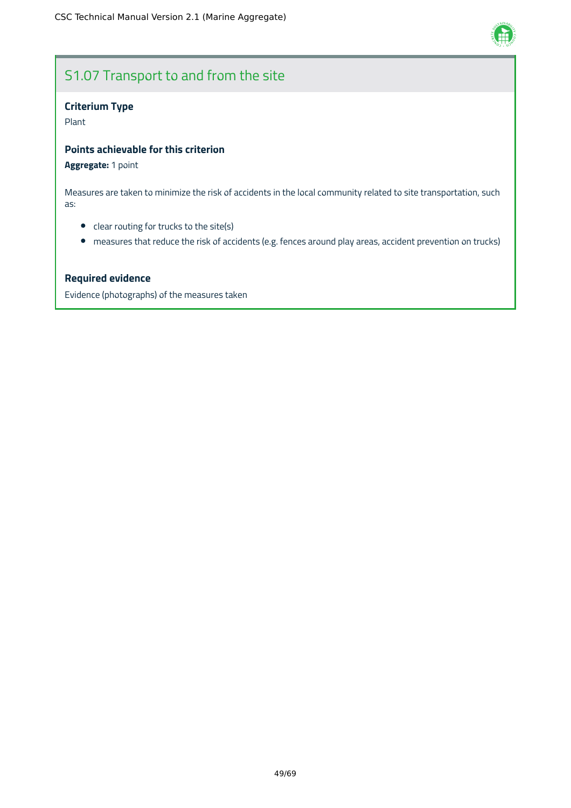

# S1.07 Transport to and from the site

# **Criterium Type**

Plant

# **Points achievable for this criterion**

# **Aggregate:** 1 point

Measures are taken to minimize the risk of accidents in the local community related to site transportation, such as:

- clear routing for trucks to the site(s)
- measures that reduce the risk of accidents (e.g. fences around play areas, accident prevention on trucks)

### **Required evidence**

Evidence (photographs) of the measures taken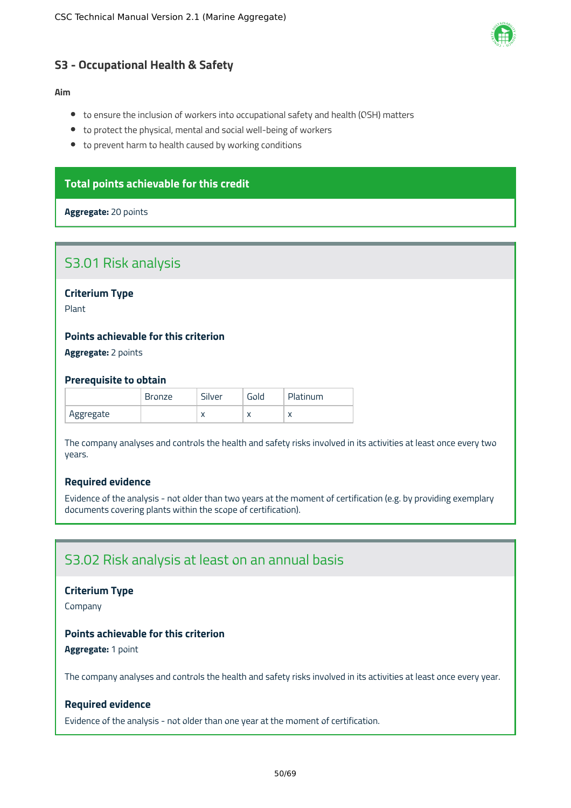

# <span id="page-50-0"></span>**S3 - Occupational Health & Safety**

#### **Aim**

- to ensure the inclusion of workers into occupational safety and health (OSH) matters
- to protect the physical, mental and social well-being of workers
- to prevent harm to health caused by working conditions

# **Total points achievable for this credit**

#### **Aggregate:** 20 points

# S3.01 Risk analysis

**Criterium Type**

Plant

### **Points achievable for this criterion**

**Aggregate:** 2 points

#### **Prerequisite to obtain**

|           | <b>Bronze</b> | Silver    | Gold | Platinum |
|-----------|---------------|-----------|------|----------|
| Aggregate |               | $\lambda$ | ◠    |          |

The company analyses and controls the health and safety risks involved in its activities at least once every two years.

# **Required evidence**

Evidence of the analysis - not older than two years at the moment of certification (e.g. by providing exemplary documents covering plants within the scope of certification).

# S3.02 Risk analysis at least on an annual basis

#### **Criterium Type**

Company

# **Points achievable for this criterion**

**Aggregate:** 1 point

The company analyses and controls the health and safety risks involved in its activities at least once every year.

# **Required evidence**

Evidence of the analysis - not older than one year at the moment of certification.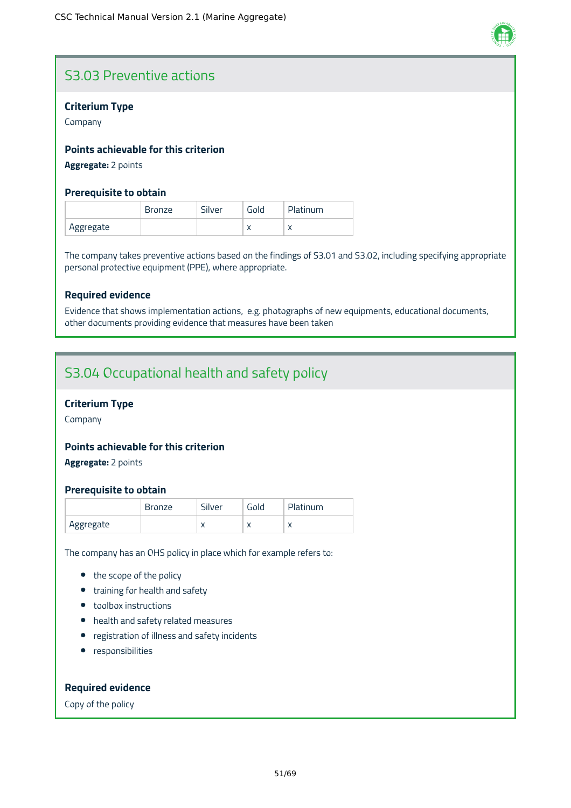

# S3.03 Preventive actions

# **Criterium Type**

Company

# **Points achievable for this criterion**

**Aggregate:** 2 points

# **Prerequisite to obtain**

|           | <b>Bronze</b> | Silver | Gold | Platinum |
|-----------|---------------|--------|------|----------|
| Aggregate |               |        | ◠    |          |

The company takes preventive actions based on the findings of S3.01 and S3.02, including specifying appropriate personal protective equipment (PPE), where appropriate.

# **Required evidence**

Evidence that shows implementation actions, e.g. photographs of new equipments, educational documents, other documents providing evidence that measures have been taken

# S3.04 Occupational health and safety policy

# **Criterium Type**

Company

### **Points achievable for this criterion**

**Aggregate:** 2 points

### **Prerequisite to obtain**

|           | Bronze | Silver    | Gold      | Platinum |
|-----------|--------|-----------|-----------|----------|
| Aggregate |        | $\lambda$ | $\lambda$ |          |

The company has an OHS policy in place which for example refers to:

- the scope of the policy
- training for health and safety
- toolbox instructions
- health and safety related measures
- registration of illness and safety incidents
- **•** responsibilities

# **Required evidence**

Copy of the policy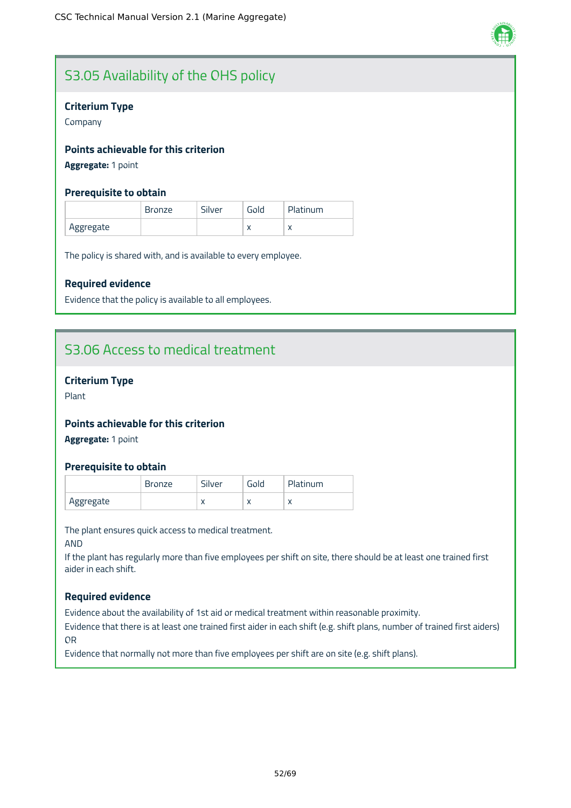

# S3.05 Availability of the OHS policy

# **Criterium Type**

Company

# **Points achievable for this criterion**

**Aggregate:** 1 point

# **Prerequisite to obtain**

|           | <b>Bronze</b> | Silver | Gold      | Platinum |
|-----------|---------------|--------|-----------|----------|
| Aggregate |               |        | $\lambda$ |          |

The policy is shared with, and is available to every employee.

# **Required evidence**

Evidence that the policy is available to all employees.

# S3.06 Access to medical treatment

# **Criterium Type**

Plant

# **Points achievable for this criterion**

**Aggregate:** 1 point

### **Prerequisite to obtain**

|           | Bronze | Silver    | Gold      | Platinum |
|-----------|--------|-----------|-----------|----------|
| Aggregate |        | $\lambda$ | $\lambda$ |          |

The plant ensures quick access to medical treatment.

AND

If the plant has regularly more than five employees per shift on site, there should be at least one trained first aider in each shift.

### **Required evidence**

Evidence about the availability of 1st aid or medical treatment within reasonable proximity.

Evidence that there is at least one trained first aider in each shift (e.g. shift plans, number of trained first aiders) OR

Evidence that normally not more than five employees per shift are on site (e.g. shift plans).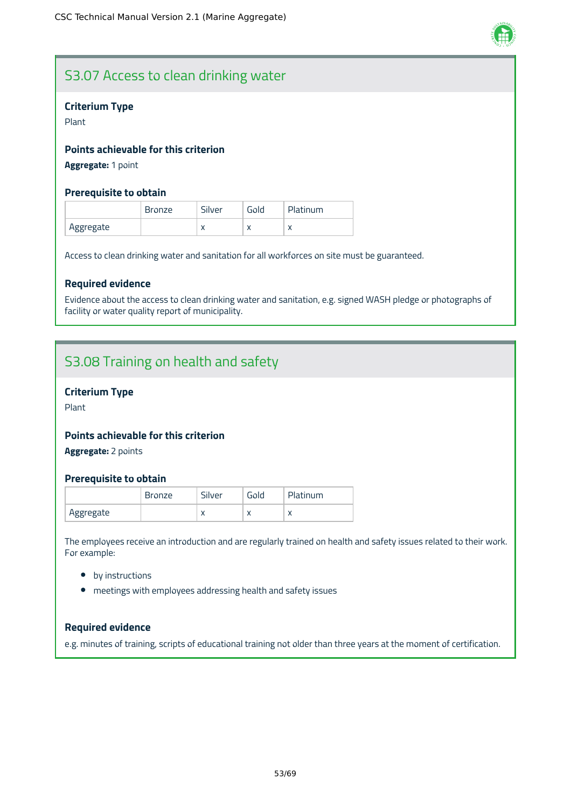

# S3.07 Access to clean drinking water

# **Criterium Type**

Plant

# **Points achievable for this criterion**

**Aggregate:** 1 point

# **Prerequisite to obtain**

|           | <b>Bronze</b> | Silver    | Gold      | <b>Platinum</b> |
|-----------|---------------|-----------|-----------|-----------------|
| Aggregate |               | $\lambda$ | $\lambda$ | $\lambda$       |

Access to clean drinking water and sanitation for all workforces on site must be guaranteed.

### **Required evidence**

Evidence about the access to clean drinking water and sanitation, e.g. signed WASH pledge or photographs of facility or water quality report of municipality.

# S3.08 Training on health and safety

### **Criterium Type**

Plant

# **Points achievable for this criterion**

**Aggregate:** 2 points

### **Prerequisite to obtain**

|           | Bronze | Silver    | Gold      | Platinum  |
|-----------|--------|-----------|-----------|-----------|
| Aggregate |        | $\lambda$ | $\lambda$ | $\lambda$ |

The employees receive an introduction and are regularly trained on health and safety issues related to their work. For example:

- by instructions
- meetings with employees addressing health and safety issues

# **Required evidence**

e.g. minutes of training, scripts of educational training not older than three years at the moment of certification.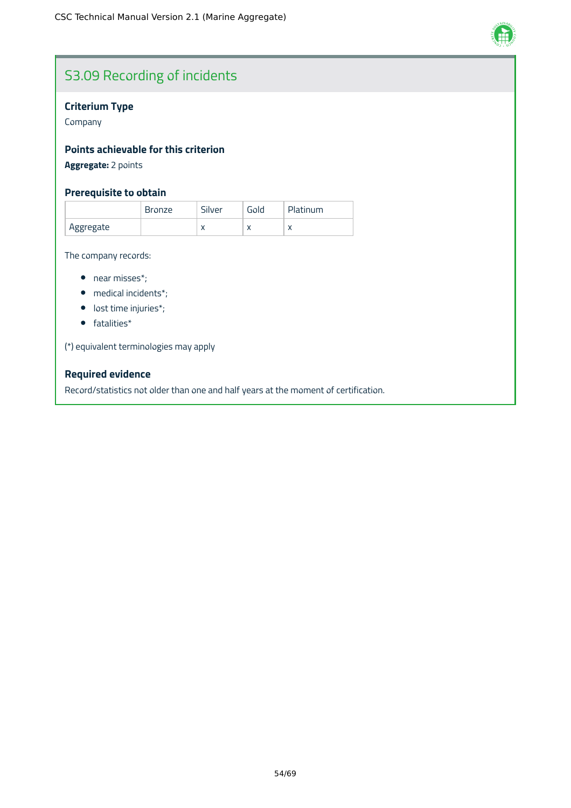

# S3.09 Recording of incidents

# **Criterium Type**

Company

# **Points achievable for this criterion**

**Aggregate:** 2 points

# **Prerequisite to obtain**

|           | <b>Bronze</b> | Silver    | Gold | Platinum  |
|-----------|---------------|-----------|------|-----------|
| Aggregate |               | $\lambda$ |      | $\lambda$ |

The company records:

- near misses\*;
- medical incidents\*;
- lost time injuries\*;
- fatalities\*

(\*) equivalent terminologies may apply

# **Required evidence**

Record/statistics not older than one and half years at the moment of certification.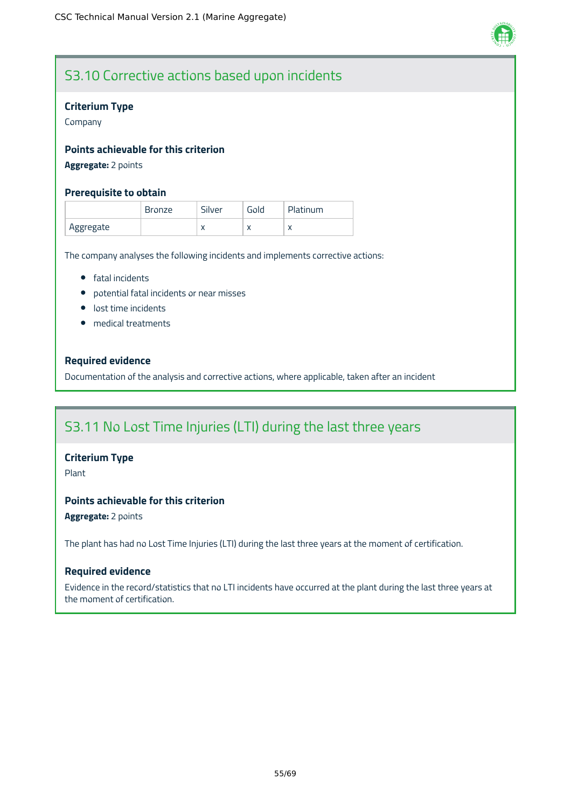

# S3.10 Corrective actions based upon incidents

# **Criterium Type**

Company

# **Points achievable for this criterion**

# **Aggregate:** 2 points

### **Prerequisite to obtain**

|           | <b>Bronze</b> | Silver    | Gold      | Platinum |
|-----------|---------------|-----------|-----------|----------|
| Aggregate |               | $\lambda$ | $\lambda$ |          |

The company analyses the following incidents and implements corrective actions:

- **•** fatal incidents
- potential fatal incidents or near misses
- **·** lost time incidents
- medical treatments

# **Required evidence**

Documentation of the analysis and corrective actions, where applicable, taken after an incident

# S3.11 No Lost Time Injuries (LTI) during the last three years

### **Criterium Type**

Plant

# **Points achievable for this criterion**

**Aggregate:** 2 points

The plant has had no Lost Time Injuries (LTI) during the last three years at the moment of certification.

### **Required evidence**

Evidence in the record/statistics that no LTI incidents have occurred at the plant during the last three years at the moment of certification.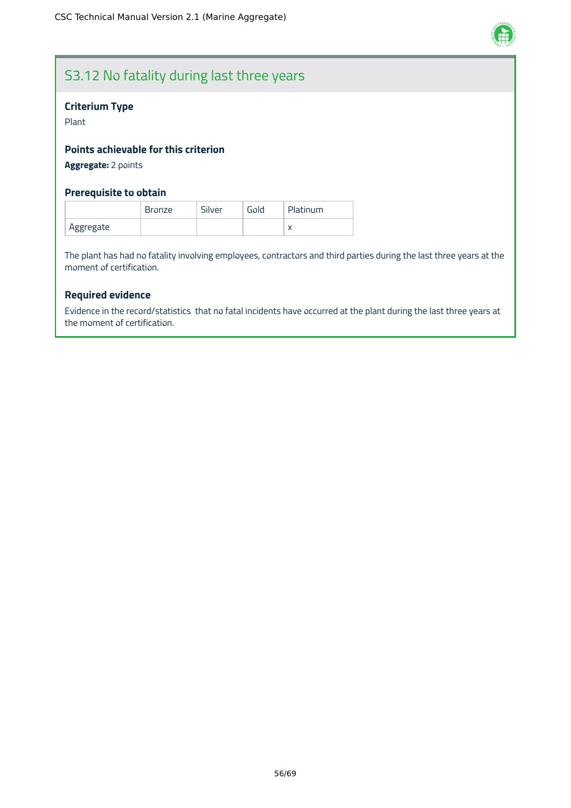

# S3.12 No fatality during last three years

# **Criterium Type**

Plant

# **Points achievable for this criterion**

**Aggregate:** 2 points

# **Prerequisite to obtain**

|           | <b>Bronze</b> | Silver | Gold | Platinum |
|-----------|---------------|--------|------|----------|
| Aggregate |               |        |      |          |

The plant has had no fatality involving employees, contractors and third parties during the last three years at the moment of certification.

# **Required evidence**

Evidence in the record/statistics that no fatal incidents have occurred at the plant during the last three years at the moment of certification.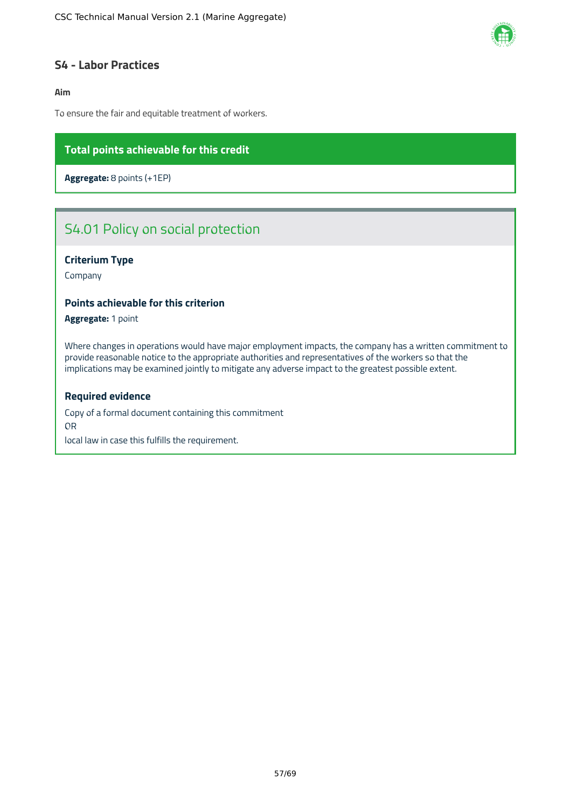

# <span id="page-57-0"></span>**S4 - Labor Practices**

### **Aim**

To ensure the fair and equitable treatment of workers.

# **Total points achievable for this credit**

**Aggregate:** 8 points (+1EP)

# S4.01 Policy on social protection

# **Criterium Type**

Company

#### **Points achievable for this criterion**

**Aggregate:** 1 point

Where changes in operations would have major employment impacts, the company has a written commitment to provide reasonable notice to the appropriate authorities and representatives of the workers so that the implications may be examined jointly to mitigate any adverse impact to the greatest possible extent.

#### **Required evidence**

Copy of a formal document containing this commitment OR local law in case this fulfills the requirement.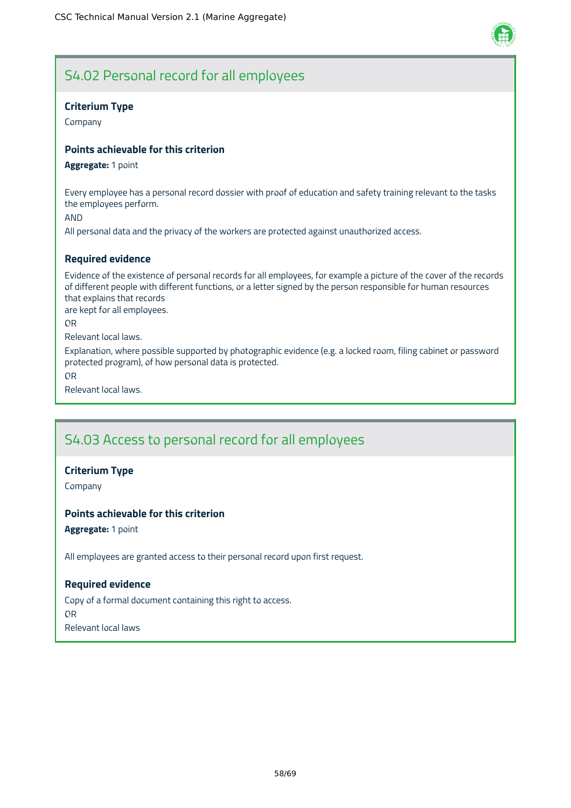

# S4.02 Personal record for all employees

# **Criterium Type**

Company

# **Points achievable for this criterion**

#### **Aggregate:** 1 point

Every employee has a personal record dossier with proof of education and safety training relevant to the tasks the employees perform.

AND

All personal data and the privacy of the workers are protected against unauthorized access.

# **Required evidence**

Evidence of the existence of personal records for all employees, for example a picture of the cover of the records of different people with different functions, or a letter signed by the person responsible for human resources that explains that records

are kept for all employees.

OR

Relevant local laws.

Explanation, where possible supported by photographic evidence (e.g. a locked room, filing cabinet or password protected program), of how personal data is protected.

OR

Relevant local laws.

# S4.03 Access to personal record for all employees

### **Criterium Type**

Company

### **Points achievable for this criterion**

**Aggregate:** 1 point

All employees are granted access to their personal record upon first request.

### **Required evidence**

Copy of a formal document containing this right to access. OR Relevant local laws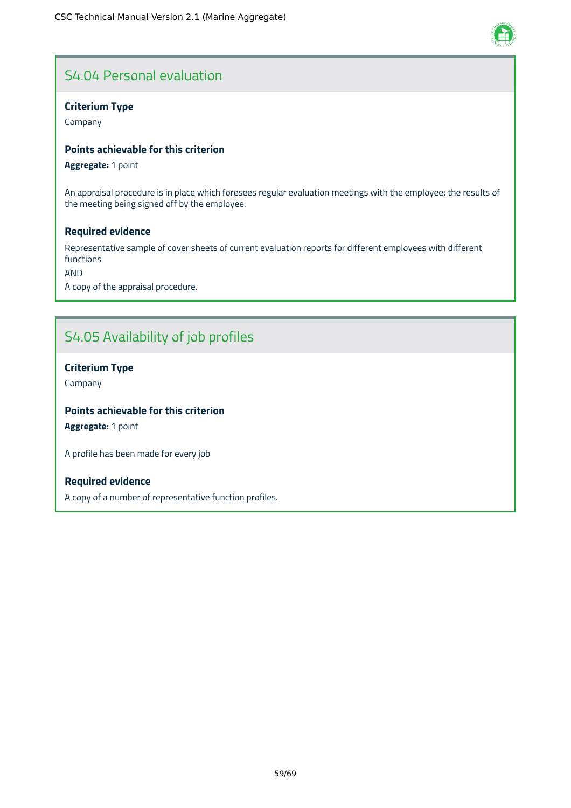# S4.04 Personal evaluation

# **Criterium Type**

Company

# **Points achievable for this criterion**

**Aggregate:** 1 point

An appraisal procedure is in place which foresees regular evaluation meetings with the employee; the results of the meeting being signed off by the employee.

# **Required evidence**

Representative sample of cover sheets of current evaluation reports for different employees with different functions

AND

A copy of the appraisal procedure.

# S4.05 Availability of job profiles

# **Criterium Type**

Company

# **Points achievable for this criterion**

**Aggregate:** 1 point

A profile has been made for every job

# **Required evidence**

A copy of a number of representative function profiles.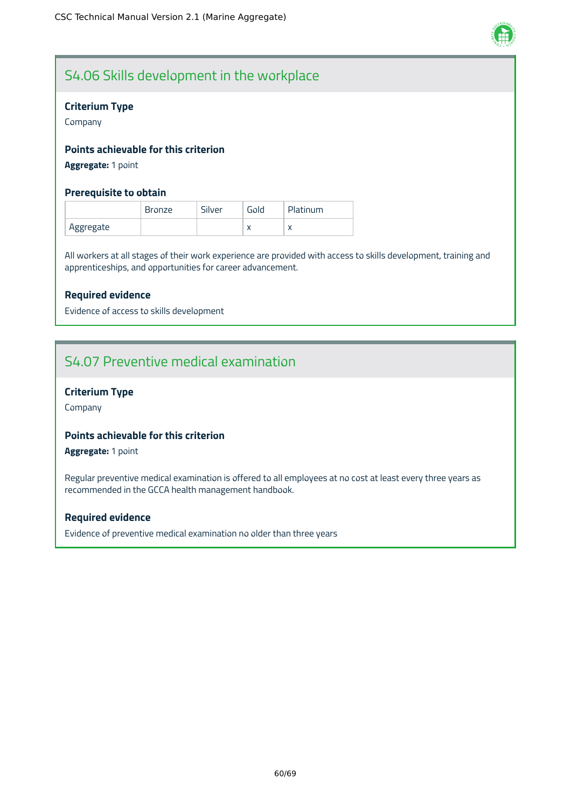

# S4.06 Skills development in the workplace

# **Criterium Type**

Company

# **Points achievable for this criterion**

**Aggregate:** 1 point

# **Prerequisite to obtain**

|           | <b>Bronze</b> | Silver | Gold      | <b>Platinum</b> |
|-----------|---------------|--------|-----------|-----------------|
| Aggregate |               |        | $\lambda$ | $\lambda$       |

All workers at all stages of their work experience are provided with access to skills development, training and apprenticeships, and opportunities for career advancement.

# **Required evidence**

Evidence of access to skills development

# S4.07 Preventive medical examination

# **Criterium Type**

Company

# **Points achievable for this criterion**

**Aggregate:** 1 point

Regular preventive medical examination is offered to all employees at no cost at least every three years as recommended in the GCCA health management handbook.

### **Required evidence**

Evidence of preventive medical examination no older than three years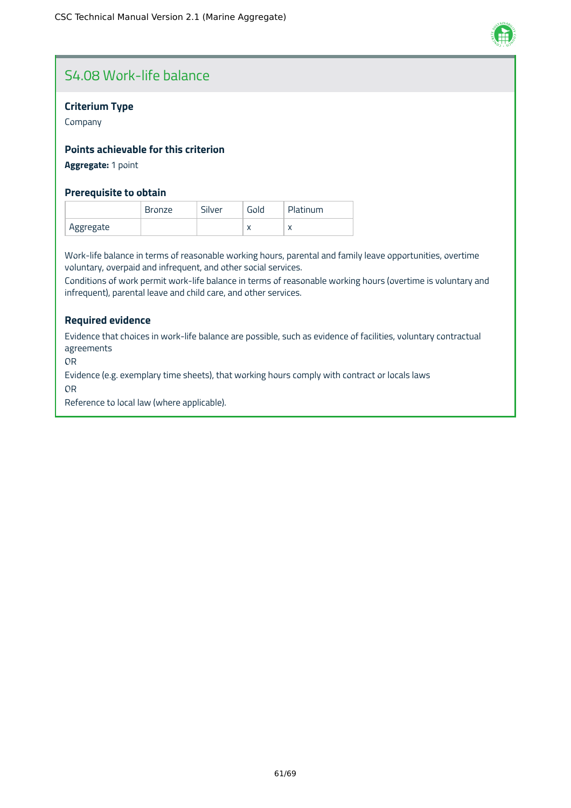

# S4.08 Work-life balance

# **Criterium Type**

Company

# **Points achievable for this criterion**

# **Aggregate:** 1 point

# **Prerequisite to obtain**

|           | <b>Bronze</b> | Silver | Gold      | Platinum |
|-----------|---------------|--------|-----------|----------|
| Aggregate |               |        | $\lambda$ |          |

Work-life balance in terms of reasonable working hours, parental and family leave opportunities, overtime voluntary, overpaid and infrequent, and other social services.

Conditions of work permit work-life balance in terms of reasonable working hours (overtime is voluntary and infrequent), parental leave and child care, and other services.

# **Required evidence**

Evidence that choices in work-life balance are possible, such as evidence of facilities, voluntary contractual agreements

OR

Evidence (e.g. exemplary time sheets), that working hours comply with contract or locals laws

OR

Reference to local law (where applicable).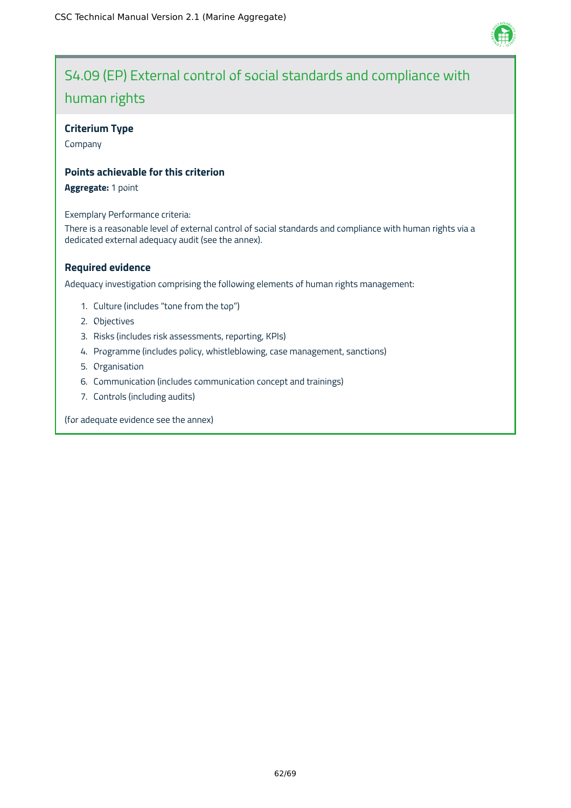

# S4.09 (EP) External control of social standards and compliance with human rights

# **Criterium Type**

Company

# **Points achievable for this criterion**

**Aggregate:** 1 point

Exemplary Performance criteria:

There is a reasonable level of external control of social standards and compliance with human rights via a dedicated external adequacy audit (see the annex).

# **Required evidence**

Adequacy investigation comprising the following elements of human rights management:

- 1. Culture (includes "tone from the top")
- 2. Objectives
- 3. Risks (includes risk assessments, reporting, KPIs)
- 4. Programme (includes policy, whistleblowing, case management, sanctions)
- 5. Organisation
- 6. Communication (includes communication concept and trainings)
- 7. Controls (including audits)

(for adequate evidence see the annex)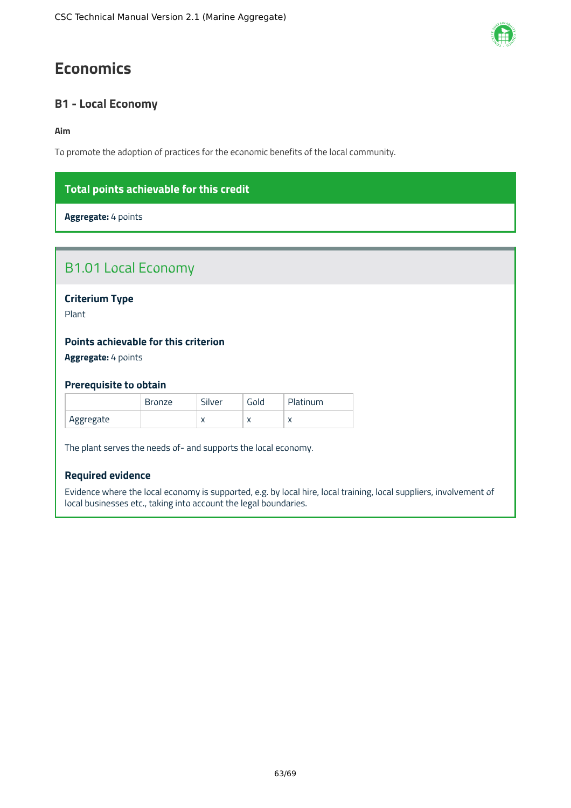# <span id="page-63-0"></span>**Economics**

# <span id="page-63-1"></span>**B1 - Local Economy**

### **Aim**

To promote the adoption of practices for the economic benefits of the local community.

# **Total points achievable for this credit**

**Aggregate:** 4 points

| <b>B1.01 Local Economy</b>                  |               |        |      |          |  |
|---------------------------------------------|---------------|--------|------|----------|--|
| <b>Criterium Type</b><br>Plant              |               |        |      |          |  |
| <b>Points achievable for this criterion</b> |               |        |      |          |  |
| Aggregate: 4 points                         |               |        |      |          |  |
| <b>Prerequisite to obtain</b>               |               |        |      |          |  |
|                                             | <b>Bronze</b> | Silver | Gold | Platinum |  |

The plant serves the needs of- and supports the local economy.

Aggregate  $\vert x \vert x \vert x \vert x$  x

### **Required evidence**

Evidence where the local economy is supported, e.g. by local hire, local training, local suppliers, involvement of local businesses etc., taking into account the legal boundaries.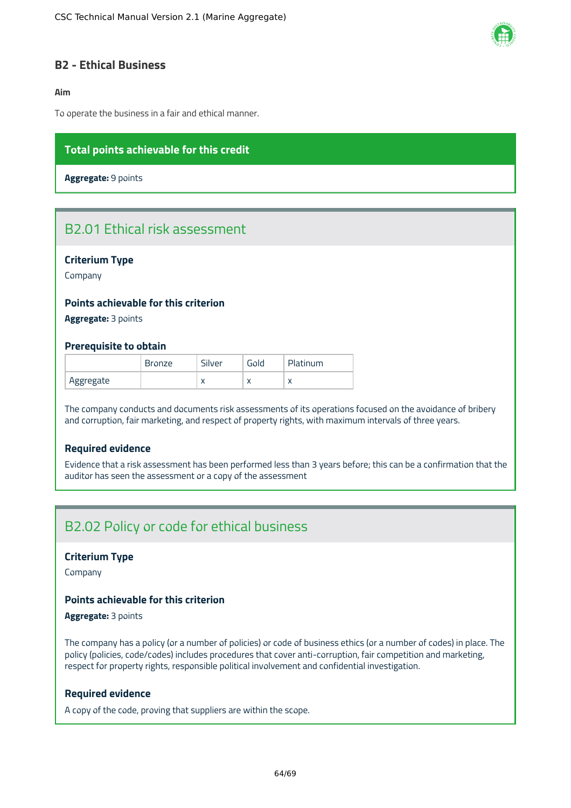

# <span id="page-64-0"></span>**B2 - Ethical Business**

# **Aim**

To operate the business in a fair and ethical manner.

# **Total points achievable for this credit**

**Aggregate:** 9 points

# B2.01 Ethical risk assessment

### **Criterium Type**

Company

# **Points achievable for this criterion**

**Aggregate:** 3 points

#### **Prerequisite to obtain**

|           | <b>Bronze</b> | Silver    | Gold      | Platinum |
|-----------|---------------|-----------|-----------|----------|
| Aggregate |               | $\lambda$ | $\lambda$ |          |

The company conducts and documents risk assessments of its operations focused on the avoidance of bribery and corruption, fair marketing, and respect of property rights, with maximum intervals of three years.

# **Required evidence**

Evidence that a risk assessment has been performed less than 3 years before; this can be a confirmation that the auditor has seen the assessment or a copy of the assessment

# B2.02 Policy or code for ethical business

#### **Criterium Type**

Company

#### **Points achievable for this criterion**

# **Aggregate:** 3 points

The company has a policy (or a number of policies) or code of business ethics (or a number of codes) in place. The policy (policies, code/codes) includes procedures that cover anti-corruption, fair competition and marketing, respect for property rights, responsible political involvement and confidential investigation.

#### **Required evidence**

A copy of the code, proving that suppliers are within the scope.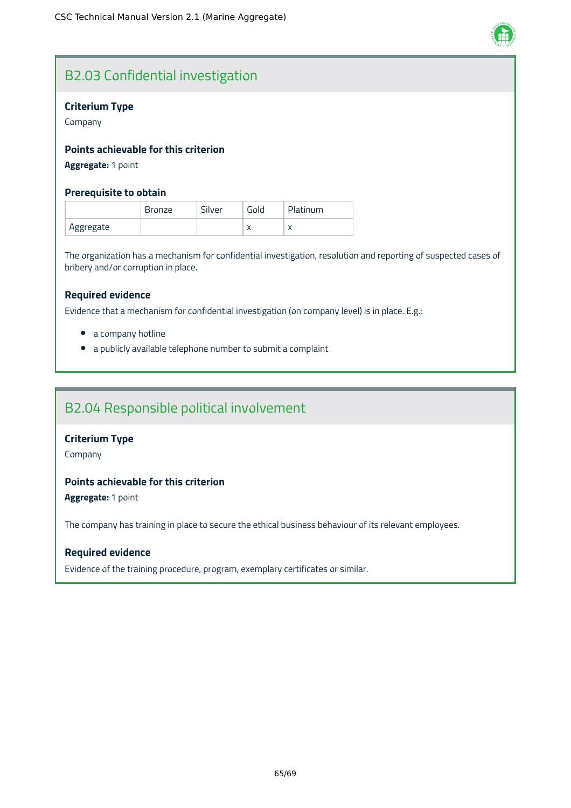

# B2.03 Confidential investigation

# **Criterium Type**

Company

# **Points achievable for this criterion**

# **Aggregate:** 1 point

# **Prerequisite to obtain**

|           | <b>Bronze</b> | Silver | Gold      | Platinum |
|-----------|---------------|--------|-----------|----------|
| Aggregate |               |        | $\lambda$ |          |

The organization has a mechanism for confidential investigation, resolution and reporting of suspected cases of bribery and/or corruption in place.

### **Required evidence**

Evidence that a mechanism for confidential investigation (on company level) is in place. E.g.:

- a company hotline
- a publicly available telephone number to submit a complaint

# B2.04 Responsible political involvement

### **Criterium Type**

Company

# **Points achievable for this criterion**

**Aggregate:** 1 point

The company has training in place to secure the ethical business behaviour of its relevant employees.

### **Required evidence**

Evidence of the training procedure, program, exemplary certificates or similar.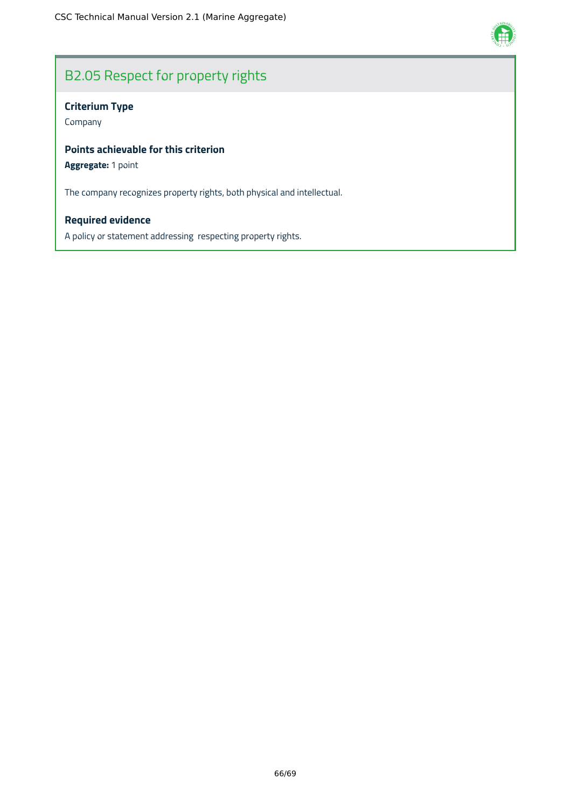

# B2.05 Respect for property rights

# **Criterium Type**

Company

# **Points achievable for this criterion**

# **Aggregate:** 1 point

The company recognizes property rights, both physical and intellectual.

# **Required evidence**

A policy or statement addressing respecting property rights.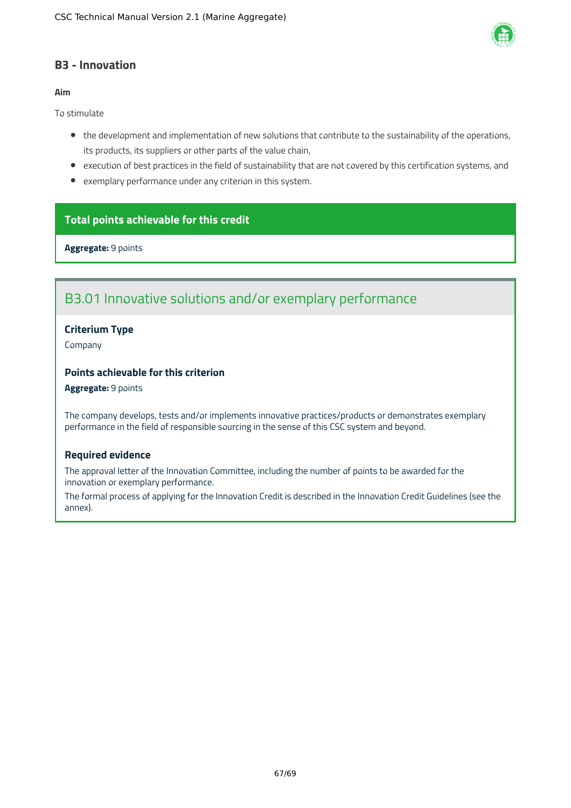

# <span id="page-67-0"></span>**B3 - Innovation**

### **Aim**

To stimulate

- the development and implementation of new solutions that contribute to the sustainability of the operations, its products, its suppliers or other parts of the value chain,
- execution of best practices in the field of sustainability that are not covered by this certification systems, and
- exemplary performance under any criterion in this system.

# **Total points achievable for this credit**

**Aggregate:** 9 points

# B3.01 Innovative solutions and/or exemplary performance

# **Criterium Type**

Company

# **Points achievable for this criterion**

#### **Aggregate:** 9 points

The company develops, tests and/or implements innovative practices/products or demonstrates exemplary performance in the field of responsible sourcing in the sense of this CSC system and beyond.

### **Required evidence**

The approval letter of the Innovation Committee, including the number of points to be awarded for the innovation or exemplary performance.

The formal process of applying for the Innovation Credit is described in the Innovation Credit Guidelines (see the annex).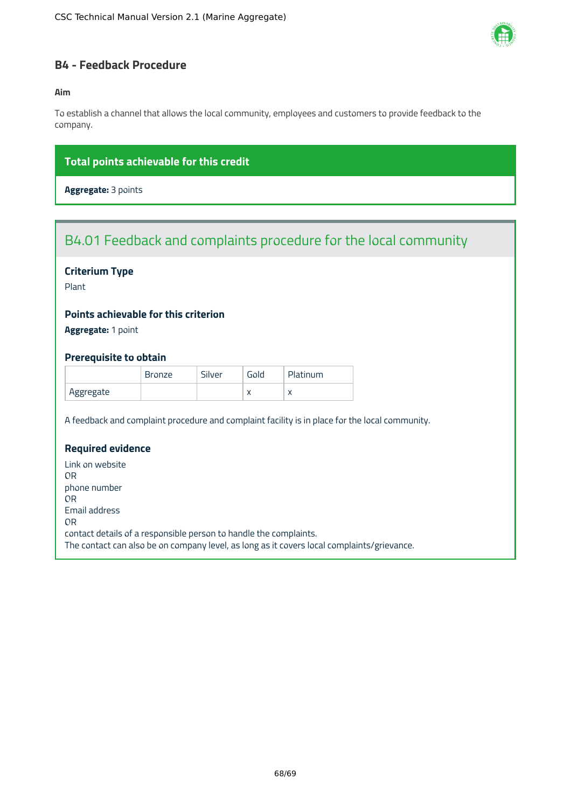

# <span id="page-68-0"></span>**B4 - Feedback Procedure**

### **Aim**

To establish a channel that allows the local community, employees and customers to provide feedback to the company.

# **Total points achievable for this credit**

**Aggregate:** 3 points

# B4.01 Feedback and complaints procedure for the local community

# **Criterium Type**

Plant

# **Points achievable for this criterion**

**Aggregate:** 1 point

### **Prerequisite to obtain**

|           | Bronze | Silver | Gold      | Platinum  |
|-----------|--------|--------|-----------|-----------|
| Aggregate |        |        | $\lambda$ | $\lambda$ |

A feedback and complaint procedure and complaint facility is in place for the local community.

# **Required evidence**

Link on website OR phone number OR Email address OR contact details of a responsible person to handle the complaints. The contact can also be on company level, as long as it covers local complaints/grievance.